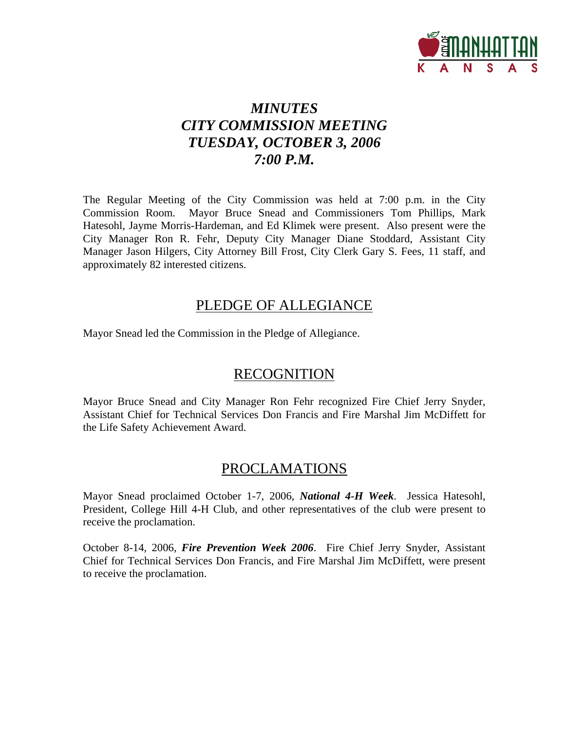

## *MINUTES CITY COMMISSION MEETING TUESDAY, OCTOBER 3, 2006 7:00 P.M.*

The Regular Meeting of the City Commission was held at 7:00 p.m. in the City Commission Room. Mayor Bruce Snead and Commissioners Tom Phillips, Mark Hatesohl, Jayme Morris-Hardeman, and Ed Klimek were present. Also present were the City Manager Ron R. Fehr, Deputy City Manager Diane Stoddard, Assistant City Manager Jason Hilgers, City Attorney Bill Frost, City Clerk Gary S. Fees, 11 staff, and approximately 82 interested citizens.

## PLEDGE OF ALLEGIANCE

Mayor Snead led the Commission in the Pledge of Allegiance.

## **RECOGNITION**

Mayor Bruce Snead and City Manager Ron Fehr recognized Fire Chief Jerry Snyder, Assistant Chief for Technical Services Don Francis and Fire Marshal Jim McDiffett for the Life Safety Achievement Award.

## PROCLAMATIONS

Mayor Snead proclaimed October 1-7, 2006, *National 4-H Week*. Jessica Hatesohl, President, College Hill 4-H Club, and other representatives of the club were present to receive the proclamation.

October 8-14, 2006, *Fire Prevention Week 2006*. Fire Chief Jerry Snyder, Assistant Chief for Technical Services Don Francis, and Fire Marshal Jim McDiffett, were present to receive the proclamation.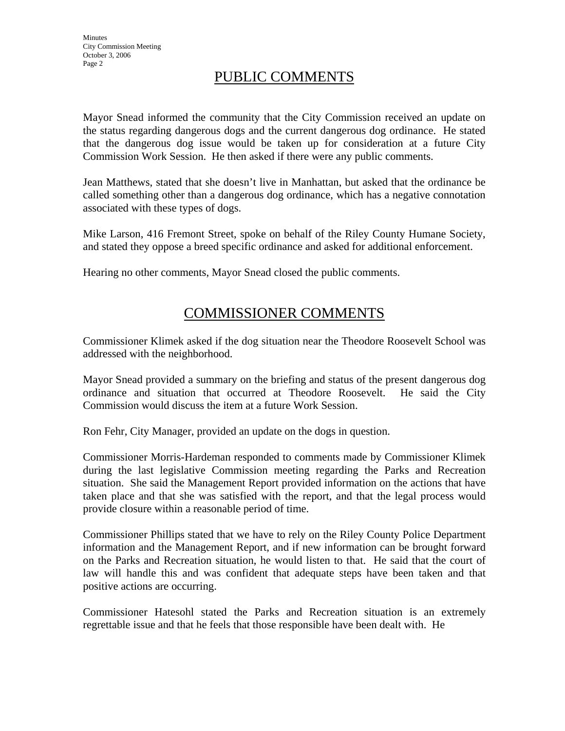## PUBLIC COMMENTS

Mayor Snead informed the community that the City Commission received an update on the status regarding dangerous dogs and the current dangerous dog ordinance. He stated that the dangerous dog issue would be taken up for consideration at a future City Commission Work Session. He then asked if there were any public comments.

Jean Matthews, stated that she doesn't live in Manhattan, but asked that the ordinance be called something other than a dangerous dog ordinance, which has a negative connotation associated with these types of dogs.

Mike Larson, 416 Fremont Street, spoke on behalf of the Riley County Humane Society, and stated they oppose a breed specific ordinance and asked for additional enforcement.

Hearing no other comments, Mayor Snead closed the public comments.

## COMMISSIONER COMMENTS

Commissioner Klimek asked if the dog situation near the Theodore Roosevelt School was addressed with the neighborhood.

Mayor Snead provided a summary on the briefing and status of the present dangerous dog ordinance and situation that occurred at Theodore Roosevelt. He said the City Commission would discuss the item at a future Work Session.

Ron Fehr, City Manager, provided an update on the dogs in question.

Commissioner Morris-Hardeman responded to comments made by Commissioner Klimek during the last legislative Commission meeting regarding the Parks and Recreation situation. She said the Management Report provided information on the actions that have taken place and that she was satisfied with the report, and that the legal process would provide closure within a reasonable period of time.

Commissioner Phillips stated that we have to rely on the Riley County Police Department information and the Management Report, and if new information can be brought forward on the Parks and Recreation situation, he would listen to that. He said that the court of law will handle this and was confident that adequate steps have been taken and that positive actions are occurring.

Commissioner Hatesohl stated the Parks and Recreation situation is an extremely regrettable issue and that he feels that those responsible have been dealt with. He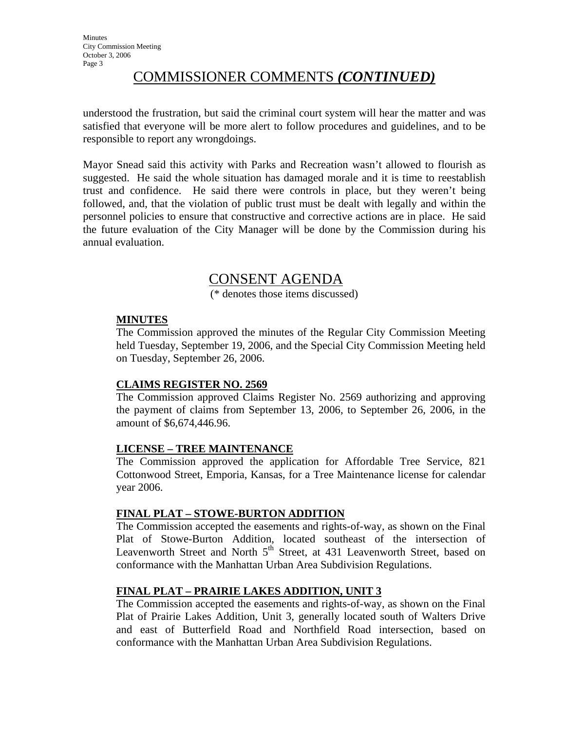## COMMISSIONER COMMENTS *(CONTINUED)*

understood the frustration, but said the criminal court system will hear the matter and was satisfied that everyone will be more alert to follow procedures and guidelines, and to be responsible to report any wrongdoings.

Mayor Snead said this activity with Parks and Recreation wasn't allowed to flourish as suggested. He said the whole situation has damaged morale and it is time to reestablish trust and confidence. He said there were controls in place, but they weren't being followed, and, that the violation of public trust must be dealt with legally and within the personnel policies to ensure that constructive and corrective actions are in place. He said the future evaluation of the City Manager will be done by the Commission during his annual evaluation.

## CONSENT AGENDA

(\* denotes those items discussed)

## **MINUTES**

The Commission approved the minutes of the Regular City Commission Meeting held Tuesday, September 19, 2006, and the Special City Commission Meeting held on Tuesday, September 26, 2006.

## **CLAIMS REGISTER NO. 2569**

The Commission approved Claims Register No. 2569 authorizing and approving the payment of claims from September 13, 2006, to September 26, 2006, in the amount of \$6,674,446.96.

## **LICENSE – TREE MAINTENANCE**

The Commission approved the application for Affordable Tree Service, 821 Cottonwood Street, Emporia, Kansas, for a Tree Maintenance license for calendar year 2006.

## **FINAL PLAT – STOWE-BURTON ADDITION**

The Commission accepted the easements and rights-of-way, as shown on the Final Plat of Stowe-Burton Addition, located southeast of the intersection of Leavenworth Street and North  $5<sup>th</sup>$  Street, at 431 Leavenworth Street, based on conformance with the Manhattan Urban Area Subdivision Regulations.

## **FINAL PLAT – PRAIRIE LAKES ADDITION, UNIT 3**

The Commission accepted the easements and rights-of-way, as shown on the Final Plat of Prairie Lakes Addition, Unit 3, generally located south of Walters Drive and east of Butterfield Road and Northfield Road intersection, based on conformance with the Manhattan Urban Area Subdivision Regulations.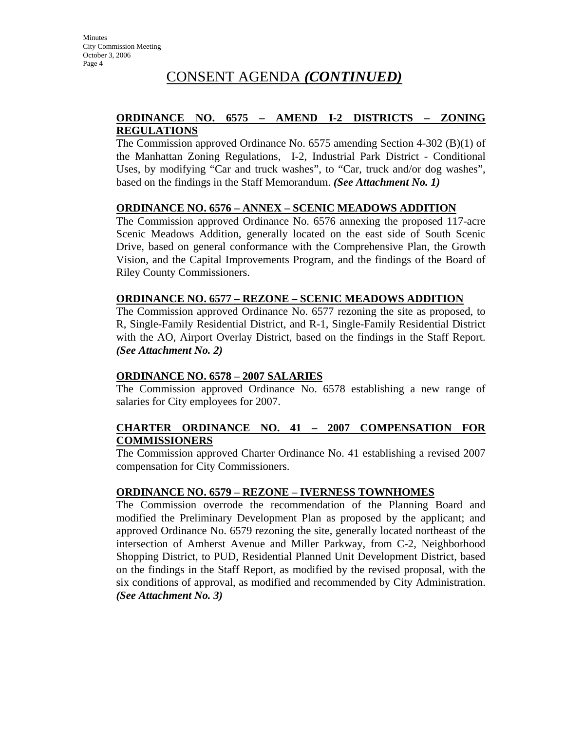## CONSENT AGENDA *(CONTINUED)*

## **ORDINANCE NO. 6575 – AMEND I-2 DISTRICTS – ZONING REGULATIONS**

The Commission approved Ordinance No. 6575 amending Section 4-302 (B)(1) of the Manhattan Zoning Regulations, I-2, Industrial Park District - Conditional Uses, by modifying "Car and truck washes", to "Car, truck and/or dog washes", based on the findings in the Staff Memorandum. *(See Attachment No. 1)*

## **ORDINANCE NO. 6576 – ANNEX – SCENIC MEADOWS ADDITION**

The Commission approved Ordinance No. 6576 annexing the proposed 117-acre Scenic Meadows Addition, generally located on the east side of South Scenic Drive, based on general conformance with the Comprehensive Plan, the Growth Vision, and the Capital Improvements Program, and the findings of the Board of Riley County Commissioners.

#### **ORDINANCE NO. 6577 – REZONE – SCENIC MEADOWS ADDITION**

The Commission approved Ordinance No. 6577 rezoning the site as proposed, to R, Single-Family Residential District, and R-1, Single-Family Residential District with the AO, Airport Overlay District, based on the findings in the Staff Report. *(See Attachment No. 2)* 

#### **ORDINANCE NO. 6578 – 2007 SALARIES**

The Commission approved Ordinance No. 6578 establishing a new range of salaries for City employees for 2007.

## **CHARTER ORDINANCE NO. 41 – 2007 COMPENSATION FOR COMMISSIONERS**

The Commission approved Charter Ordinance No. 41 establishing a revised 2007 compensation for City Commissioners.

#### **ORDINANCE NO. 6579 – REZONE – IVERNESS TOWNHOMES**

The Commission overrode the recommendation of the Planning Board and modified the Preliminary Development Plan as proposed by the applicant; and approved Ordinance No. 6579 rezoning the site, generally located northeast of the intersection of Amherst Avenue and Miller Parkway, from C-2, Neighborhood Shopping District, to PUD, Residential Planned Unit Development District, based on the findings in the Staff Report, as modified by the revised proposal, with the six conditions of approval, as modified and recommended by City Administration. *(See Attachment No. 3)*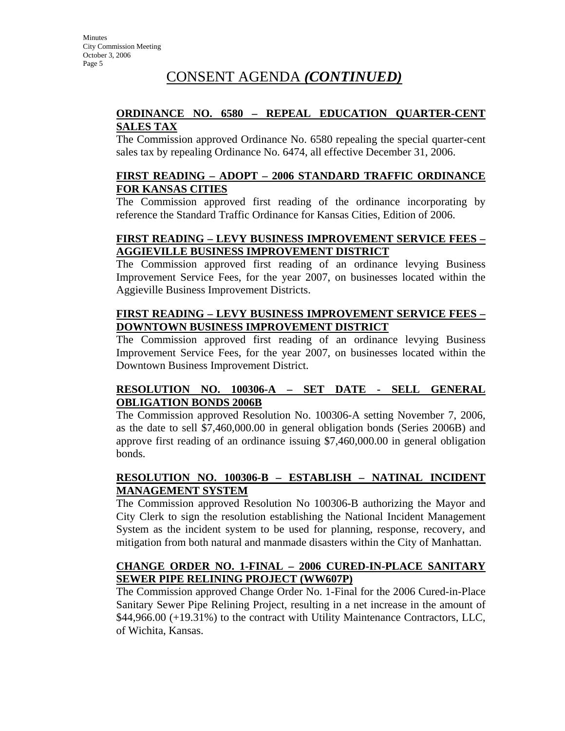## CONSENT AGENDA *(CONTINUED)*

## **ORDINANCE NO. 6580 – REPEAL EDUCATION QUARTER-CENT SALES TAX**

The Commission approved Ordinance No. 6580 repealing the special quarter-cent sales tax by repealing Ordinance No. 6474, all effective December 31, 2006.

## **FIRST READING – ADOPT – 2006 STANDARD TRAFFIC ORDINANCE FOR KANSAS CITIES**

The Commission approved first reading of the ordinance incorporating by reference the Standard Traffic Ordinance for Kansas Cities, Edition of 2006.

## **FIRST READING – LEVY BUSINESS IMPROVEMENT SERVICE FEES – AGGIEVILLE BUSINESS IMPROVEMENT DISTRICT**

The Commission approved first reading of an ordinance levying Business Improvement Service Fees, for the year 2007, on businesses located within the Aggieville Business Improvement Districts.

## **FIRST READING – LEVY BUSINESS IMPROVEMENT SERVICE FEES – DOWNTOWN BUSINESS IMPROVEMENT DISTRICT**

The Commission approved first reading of an ordinance levying Business Improvement Service Fees, for the year 2007, on businesses located within the Downtown Business Improvement District.

## **RESOLUTION NO. 100306-A – SET DATE - SELL GENERAL OBLIGATION BONDS 2006B**

The Commission approved Resolution No. 100306-A setting November 7, 2006, as the date to sell \$7,460,000.00 in general obligation bonds (Series 2006B) and approve first reading of an ordinance issuing \$7,460,000.00 in general obligation bonds.

## **RESOLUTION NO. 100306-B – ESTABLISH – NATINAL INCIDENT MANAGEMENT SYSTEM**

The Commission approved Resolution No 100306-B authorizing the Mayor and City Clerk to sign the resolution establishing the National Incident Management System as the incident system to be used for planning, response, recovery, and mitigation from both natural and manmade disasters within the City of Manhattan.

## **CHANGE ORDER NO. 1-FINAL – 2006 CURED-IN-PLACE SANITARY SEWER PIPE RELINING PROJECT (WW607P)**

The Commission approved Change Order No. 1-Final for the 2006 Cured-in-Place Sanitary Sewer Pipe Relining Project, resulting in a net increase in the amount of \$44,966.00 (+19.31%) to the contract with Utility Maintenance Contractors, LLC, of Wichita, Kansas.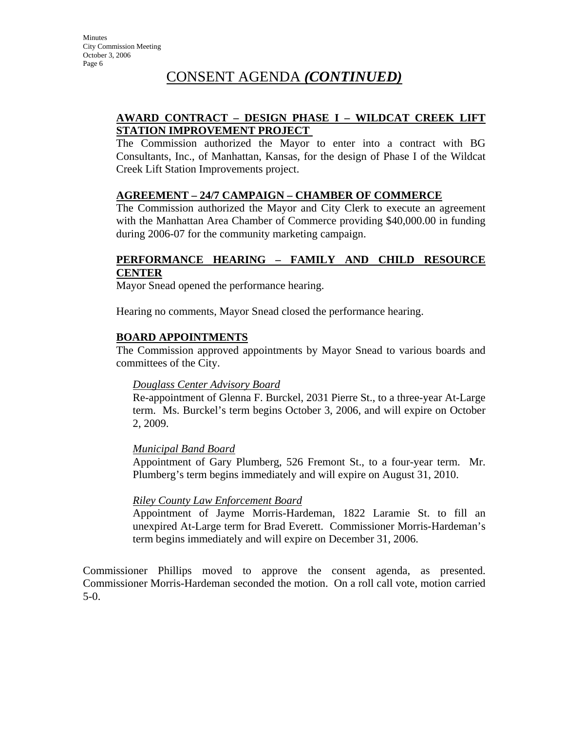## CONSENT AGENDA *(CONTINUED)*

## **AWARD CONTRACT – DESIGN PHASE I – WILDCAT CREEK LIFT STATION IMPROVEMENT PROJECT**

The Commission authorized the Mayor to enter into a contract with BG Consultants, Inc., of Manhattan, Kansas, for the design of Phase I of the Wildcat Creek Lift Station Improvements project.

## **AGREEMENT – 24/7 CAMPAIGN – CHAMBER OF COMMERCE**

The Commission authorized the Mayor and City Clerk to execute an agreement with the Manhattan Area Chamber of Commerce providing \$40,000.00 in funding during 2006-07 for the community marketing campaign.

#### **PERFORMANCE HEARING – FAMILY AND CHILD RESOURCE CENTER**

Mayor Snead opened the performance hearing.

Hearing no comments, Mayor Snead closed the performance hearing.

## **BOARD APPOINTMENTS**

The Commission approved appointments by Mayor Snead to various boards and committees of the City.

#### *Douglass Center Advisory Board*

Re-appointment of Glenna F. Burckel, 2031 Pierre St., to a three-year At-Large term. Ms. Burckel's term begins October 3, 2006, and will expire on October 2, 2009.

## *Municipal Band Board*

Appointment of Gary Plumberg, 526 Fremont St., to a four-year term. Mr. Plumberg's term begins immediately and will expire on August 31, 2010.

## *Riley County Law Enforcement Board*

Appointment of Jayme Morris-Hardeman, 1822 Laramie St. to fill an unexpired At-Large term for Brad Everett. Commissioner Morris-Hardeman's term begins immediately and will expire on December 31, 2006.

Commissioner Phillips moved to approve the consent agenda, as presented. Commissioner Morris-Hardeman seconded the motion. On a roll call vote, motion carried 5-0.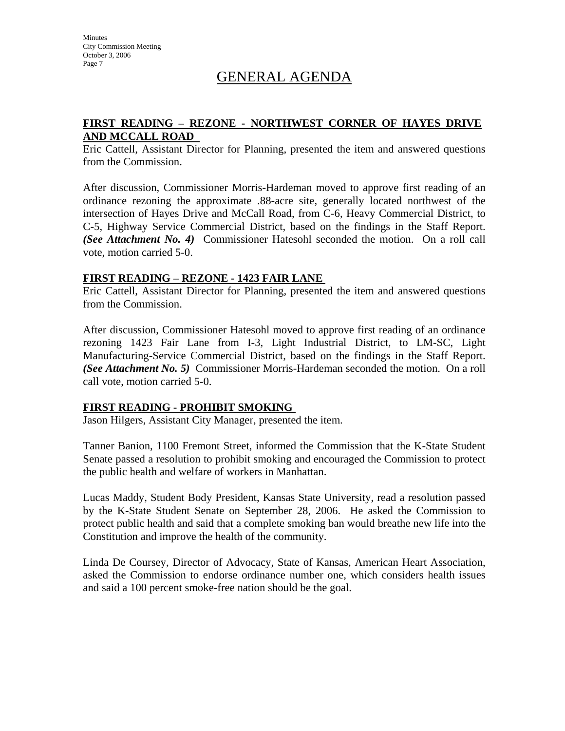## GENERAL AGENDA

## **FIRST READING – REZONE - NORTHWEST CORNER OF HAYES DRIVE AND MCCALL ROAD**

Eric Cattell, Assistant Director for Planning, presented the item and answered questions from the Commission.

After discussion, Commissioner Morris-Hardeman moved to approve first reading of an ordinance rezoning the approximate .88-acre site, generally located northwest of the intersection of Hayes Drive and McCall Road, from C-6, Heavy Commercial District, to C-5, Highway Service Commercial District, based on the findings in the Staff Report. *(See Attachment No. 4)* Commissioner Hatesohl seconded the motion. On a roll call vote, motion carried 5-0.

#### **FIRST READING – REZONE - 1423 FAIR LANE**

Eric Cattell, Assistant Director for Planning, presented the item and answered questions from the Commission.

After discussion, Commissioner Hatesohl moved to approve first reading of an ordinance rezoning 1423 Fair Lane from I-3, Light Industrial District, to LM-SC, Light Manufacturing-Service Commercial District, based on the findings in the Staff Report. *(See Attachment No. 5)* Commissioner Morris-Hardeman seconded the motion. On a roll call vote, motion carried 5-0.

## **FIRST READING - PROHIBIT SMOKING**

Jason Hilgers, Assistant City Manager, presented the item.

Tanner Banion, 1100 Fremont Street, informed the Commission that the K-State Student Senate passed a resolution to prohibit smoking and encouraged the Commission to protect the public health and welfare of workers in Manhattan.

Lucas Maddy, Student Body President, Kansas State University, read a resolution passed by the K-State Student Senate on September 28, 2006. He asked the Commission to protect public health and said that a complete smoking ban would breathe new life into the Constitution and improve the health of the community.

Linda De Coursey, Director of Advocacy, State of Kansas, American Heart Association, asked the Commission to endorse ordinance number one, which considers health issues and said a 100 percent smoke-free nation should be the goal.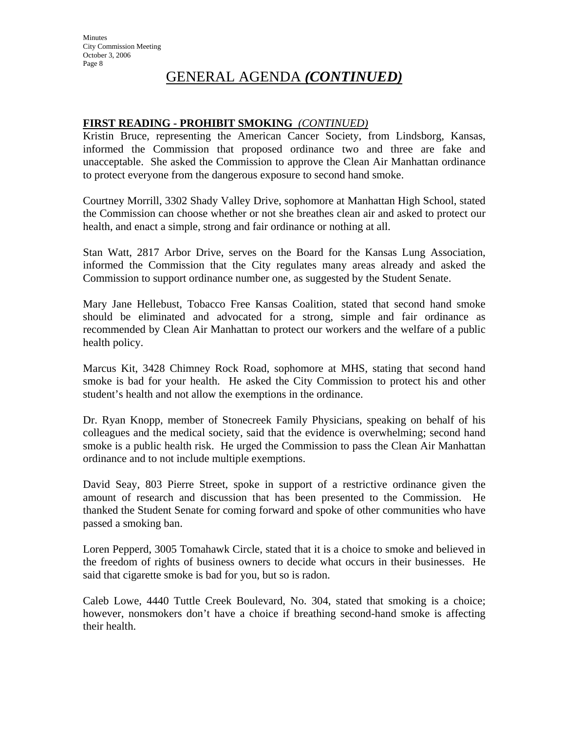## **FIRST READING - PROHIBIT SMOKING** *(CONTINUED)*

Kristin Bruce, representing the American Cancer Society, from Lindsborg, Kansas, informed the Commission that proposed ordinance two and three are fake and unacceptable. She asked the Commission to approve the Clean Air Manhattan ordinance to protect everyone from the dangerous exposure to second hand smoke.

Courtney Morrill, 3302 Shady Valley Drive, sophomore at Manhattan High School, stated the Commission can choose whether or not she breathes clean air and asked to protect our health, and enact a simple, strong and fair ordinance or nothing at all.

Stan Watt, 2817 Arbor Drive, serves on the Board for the Kansas Lung Association, informed the Commission that the City regulates many areas already and asked the Commission to support ordinance number one, as suggested by the Student Senate.

Mary Jane Hellebust, Tobacco Free Kansas Coalition, stated that second hand smoke should be eliminated and advocated for a strong, simple and fair ordinance as recommended by Clean Air Manhattan to protect our workers and the welfare of a public health policy.

Marcus Kit, 3428 Chimney Rock Road, sophomore at MHS, stating that second hand smoke is bad for your health. He asked the City Commission to protect his and other student's health and not allow the exemptions in the ordinance.

Dr. Ryan Knopp, member of Stonecreek Family Physicians, speaking on behalf of his colleagues and the medical society, said that the evidence is overwhelming; second hand smoke is a public health risk. He urged the Commission to pass the Clean Air Manhattan ordinance and to not include multiple exemptions.

David Seay, 803 Pierre Street, spoke in support of a restrictive ordinance given the amount of research and discussion that has been presented to the Commission. He thanked the Student Senate for coming forward and spoke of other communities who have passed a smoking ban.

Loren Pepperd, 3005 Tomahawk Circle, stated that it is a choice to smoke and believed in the freedom of rights of business owners to decide what occurs in their businesses. He said that cigarette smoke is bad for you, but so is radon.

Caleb Lowe, 4440 Tuttle Creek Boulevard, No. 304, stated that smoking is a choice; however, nonsmokers don't have a choice if breathing second-hand smoke is affecting their health.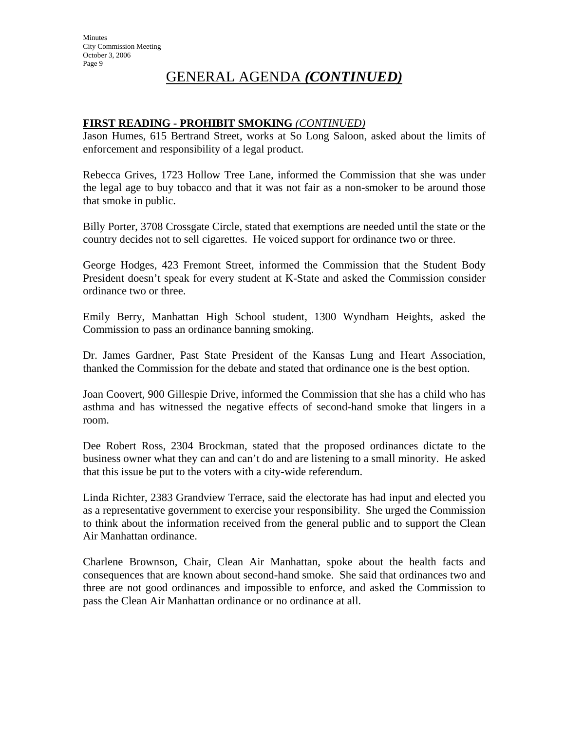#### **FIRST READING - PROHIBIT SMOKING** *(CONTINUED)*

Jason Humes, 615 Bertrand Street, works at So Long Saloon, asked about the limits of enforcement and responsibility of a legal product.

Rebecca Grives, 1723 Hollow Tree Lane, informed the Commission that she was under the legal age to buy tobacco and that it was not fair as a non-smoker to be around those that smoke in public.

Billy Porter, 3708 Crossgate Circle, stated that exemptions are needed until the state or the country decides not to sell cigarettes. He voiced support for ordinance two or three.

George Hodges, 423 Fremont Street, informed the Commission that the Student Body President doesn't speak for every student at K-State and asked the Commission consider ordinance two or three.

Emily Berry, Manhattan High School student, 1300 Wyndham Heights, asked the Commission to pass an ordinance banning smoking.

Dr. James Gardner, Past State President of the Kansas Lung and Heart Association, thanked the Commission for the debate and stated that ordinance one is the best option.

Joan Coovert, 900 Gillespie Drive, informed the Commission that she has a child who has asthma and has witnessed the negative effects of second-hand smoke that lingers in a room.

Dee Robert Ross, 2304 Brockman, stated that the proposed ordinances dictate to the business owner what they can and can't do and are listening to a small minority. He asked that this issue be put to the voters with a city-wide referendum.

Linda Richter, 2383 Grandview Terrace, said the electorate has had input and elected you as a representative government to exercise your responsibility. She urged the Commission to think about the information received from the general public and to support the Clean Air Manhattan ordinance.

Charlene Brownson, Chair, Clean Air Manhattan, spoke about the health facts and consequences that are known about second-hand smoke. She said that ordinances two and three are not good ordinances and impossible to enforce, and asked the Commission to pass the Clean Air Manhattan ordinance or no ordinance at all.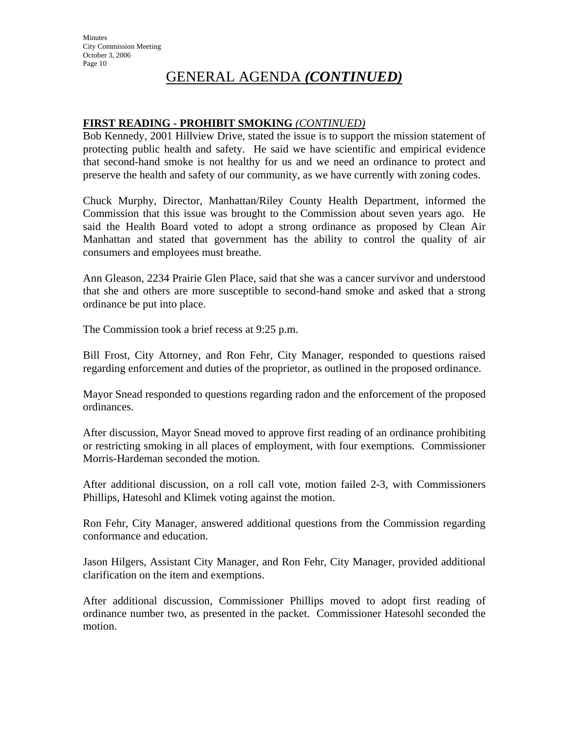## **FIRST READING - PROHIBIT SMOKING** *(CONTINUED)*

Bob Kennedy, 2001 Hillview Drive, stated the issue is to support the mission statement of protecting public health and safety. He said we have scientific and empirical evidence that second-hand smoke is not healthy for us and we need an ordinance to protect and preserve the health and safety of our community, as we have currently with zoning codes.

Chuck Murphy, Director, Manhattan/Riley County Health Department, informed the Commission that this issue was brought to the Commission about seven years ago. He said the Health Board voted to adopt a strong ordinance as proposed by Clean Air Manhattan and stated that government has the ability to control the quality of air consumers and employees must breathe.

Ann Gleason, 2234 Prairie Glen Place, said that she was a cancer survivor and understood that she and others are more susceptible to second-hand smoke and asked that a strong ordinance be put into place.

The Commission took a brief recess at 9:25 p.m.

Bill Frost, City Attorney, and Ron Fehr, City Manager, responded to questions raised regarding enforcement and duties of the proprietor, as outlined in the proposed ordinance.

Mayor Snead responded to questions regarding radon and the enforcement of the proposed ordinances.

After discussion, Mayor Snead moved to approve first reading of an ordinance prohibiting or restricting smoking in all places of employment, with four exemptions. Commissioner Morris-Hardeman seconded the motion.

After additional discussion, on a roll call vote, motion failed 2-3, with Commissioners Phillips, Hatesohl and Klimek voting against the motion.

Ron Fehr, City Manager, answered additional questions from the Commission regarding conformance and education.

Jason Hilgers, Assistant City Manager, and Ron Fehr, City Manager, provided additional clarification on the item and exemptions.

After additional discussion, Commissioner Phillips moved to adopt first reading of ordinance number two, as presented in the packet. Commissioner Hatesohl seconded the motion.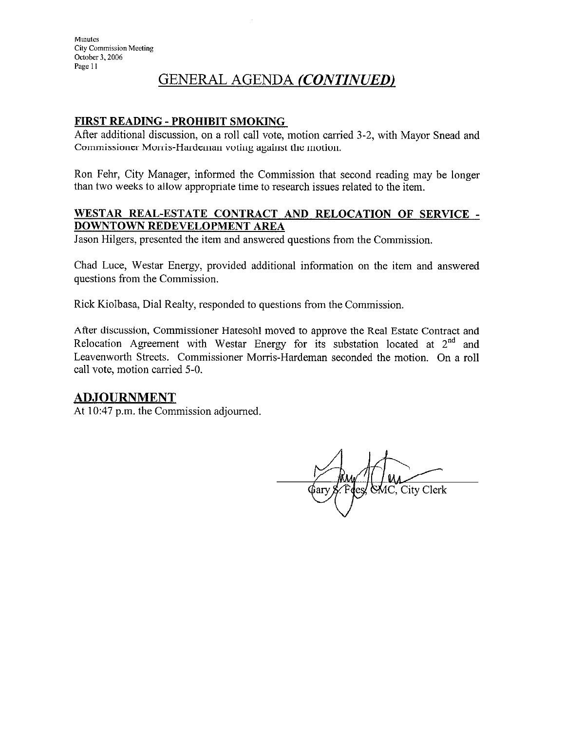## **FIRST READING - PROHIBIT SMOKING**

After additional discussion, on a roll call vote, motion carried 3-2, with Mayor Snead and Commissioner Morris-Hardeman voting against the motion.

Ron Fehr, City Manager, informed the Commission that second reading may be longer than two weeks to allow appropriate time to research issues related to the item.

#### WESTAR REAL-ESTATE CONTRACT AND RELOCATION OF SERVICE -**DOWNTOWN REDEVELOPMENT AREA**

Jason Hilgers, presented the item and answered questions from the Commission.

Chad Luce, Westar Energy, provided additional information on the item and answered questions from the Commission.

Rick Kiolbasa, Dial Realty, responded to questions from the Commission.

After discussion, Commissioner Hatesohl moved to approve the Real Estate Contract and Relocation Agreement with Westar Energy for its substation located at  $2^{nd}$  and Leavenworth Streets. Commissioner Morris-Hardeman seconded the motion. On a roll call vote, motion carried 5-0.

## **ADJOURNMENT**

At 10:47 p.m. the Commission adjourned.

MC, City Clerk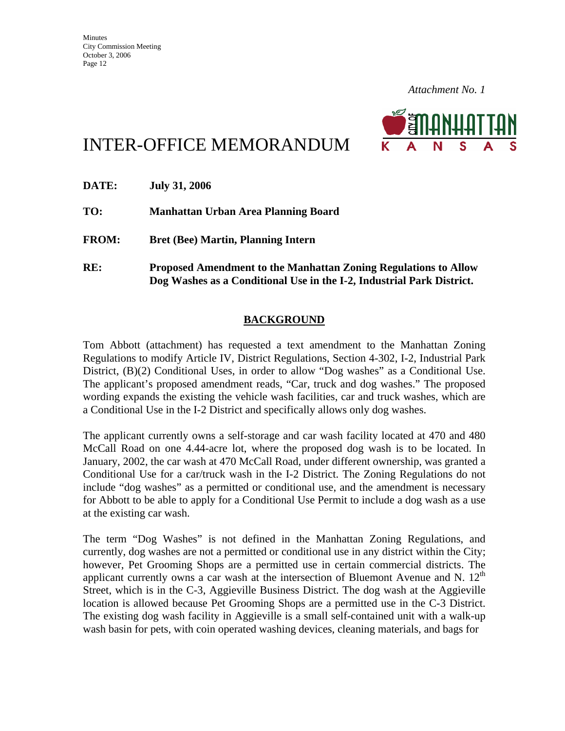

# INTER-OFFICE MEMORANDUM

| DATE:        | <b>July 31, 2006</b>                                                                                                                            |
|--------------|-------------------------------------------------------------------------------------------------------------------------------------------------|
| TO:          | Manhattan Urban Area Planning Board                                                                                                             |
| <b>FROM:</b> | <b>Bret (Bee) Martin, Planning Intern</b>                                                                                                       |
| RE:          | <b>Proposed Amendment to the Manhattan Zoning Regulations to Allow</b><br>Dog Washes as a Conditional Use in the I-2, Industrial Park District. |

## **BACKGROUND**

Tom Abbott (attachment) has requested a text amendment to the Manhattan Zoning Regulations to modify Article IV, District Regulations, Section 4-302, I-2, Industrial Park District, (B)(2) Conditional Uses, in order to allow "Dog washes" as a Conditional Use. The applicant's proposed amendment reads, "Car, truck and dog washes." The proposed wording expands the existing the vehicle wash facilities, car and truck washes, which are a Conditional Use in the I-2 District and specifically allows only dog washes.

The applicant currently owns a self-storage and car wash facility located at 470 and 480 McCall Road on one 4.44-acre lot, where the proposed dog wash is to be located. In January, 2002, the car wash at 470 McCall Road, under different ownership, was granted a Conditional Use for a car/truck wash in the I-2 District. The Zoning Regulations do not include "dog washes" as a permitted or conditional use, and the amendment is necessary for Abbott to be able to apply for a Conditional Use Permit to include a dog wash as a use at the existing car wash.

The term "Dog Washes" is not defined in the Manhattan Zoning Regulations, and currently, dog washes are not a permitted or conditional use in any district within the City; however, Pet Grooming Shops are a permitted use in certain commercial districts. The applicant currently owns a car wash at the intersection of Bluemont Avenue and N.  $12<sup>th</sup>$ Street, which is in the C-3, Aggieville Business District. The dog wash at the Aggieville location is allowed because Pet Grooming Shops are a permitted use in the C-3 District. The existing dog wash facility in Aggieville is a small self-contained unit with a walk-up wash basin for pets, with coin operated washing devices, cleaning materials, and bags for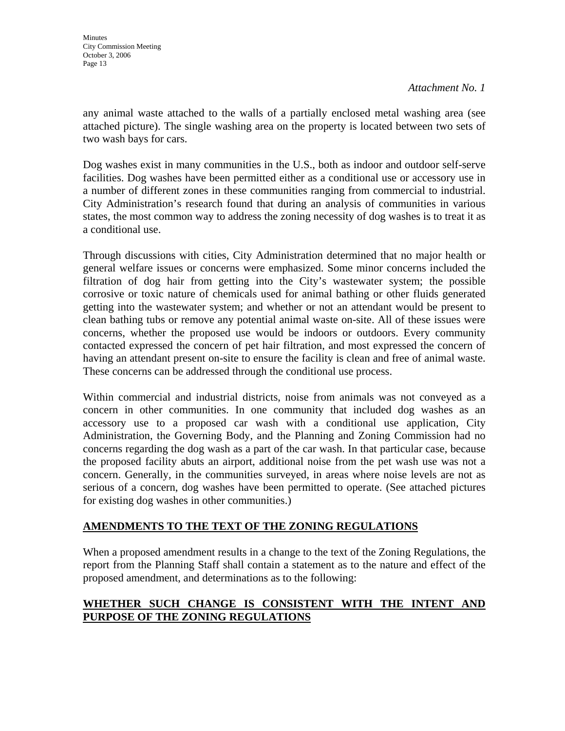any animal waste attached to the walls of a partially enclosed metal washing area (see attached picture). The single washing area on the property is located between two sets of two wash bays for cars.

Dog washes exist in many communities in the U.S., both as indoor and outdoor self-serve facilities. Dog washes have been permitted either as a conditional use or accessory use in a number of different zones in these communities ranging from commercial to industrial. City Administration's research found that during an analysis of communities in various states, the most common way to address the zoning necessity of dog washes is to treat it as a conditional use.

Through discussions with cities, City Administration determined that no major health or general welfare issues or concerns were emphasized. Some minor concerns included the filtration of dog hair from getting into the City's wastewater system; the possible corrosive or toxic nature of chemicals used for animal bathing or other fluids generated getting into the wastewater system; and whether or not an attendant would be present to clean bathing tubs or remove any potential animal waste on-site. All of these issues were concerns, whether the proposed use would be indoors or outdoors. Every community contacted expressed the concern of pet hair filtration, and most expressed the concern of having an attendant present on-site to ensure the facility is clean and free of animal waste. These concerns can be addressed through the conditional use process.

Within commercial and industrial districts, noise from animals was not conveyed as a concern in other communities. In one community that included dog washes as an accessory use to a proposed car wash with a conditional use application, City Administration, the Governing Body, and the Planning and Zoning Commission had no concerns regarding the dog wash as a part of the car wash. In that particular case, because the proposed facility abuts an airport, additional noise from the pet wash use was not a concern. Generally, in the communities surveyed, in areas where noise levels are not as serious of a concern, dog washes have been permitted to operate. (See attached pictures for existing dog washes in other communities.)

## **AMENDMENTS TO THE TEXT OF THE ZONING REGULATIONS**

When a proposed amendment results in a change to the text of the Zoning Regulations, the report from the Planning Staff shall contain a statement as to the nature and effect of the proposed amendment, and determinations as to the following:

## **WHETHER SUCH CHANGE IS CONSISTENT WITH THE INTENT AND PURPOSE OF THE ZONING REGULATIONS**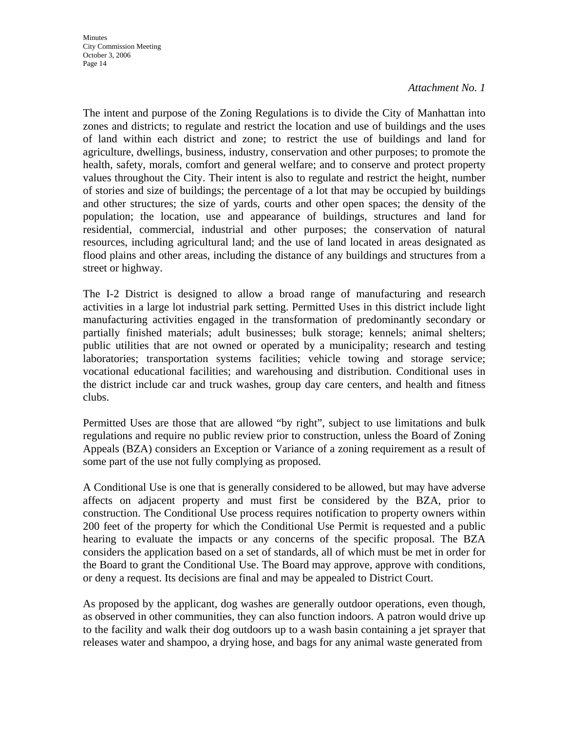**Minutes** City Commission Meeting October 3, 2006 Page 14

#### *Attachment No. 1*

The intent and purpose of the Zoning Regulations is to divide the City of Manhattan into zones and districts; to regulate and restrict the location and use of buildings and the uses of land within each district and zone; to restrict the use of buildings and land for agriculture, dwellings, business, industry, conservation and other purposes; to promote the health, safety, morals, comfort and general welfare; and to conserve and protect property values throughout the City. Their intent is also to regulate and restrict the height, number of stories and size of buildings; the percentage of a lot that may be occupied by buildings and other structures; the size of yards, courts and other open spaces; the density of the population; the location, use and appearance of buildings, structures and land for residential, commercial, industrial and other purposes; the conservation of natural resources, including agricultural land; and the use of land located in areas designated as flood plains and other areas, including the distance of any buildings and structures from a street or highway.

The I-2 District is designed to allow a broad range of manufacturing and research activities in a large lot industrial park setting. Permitted Uses in this district include light manufacturing activities engaged in the transformation of predominantly secondary or partially finished materials; adult businesses; bulk storage; kennels; animal shelters; public utilities that are not owned or operated by a municipality; research and testing laboratories; transportation systems facilities; vehicle towing and storage service; vocational educational facilities; and warehousing and distribution. Conditional uses in the district include car and truck washes, group day care centers, and health and fitness clubs.

Permitted Uses are those that are allowed "by right", subject to use limitations and bulk regulations and require no public review prior to construction, unless the Board of Zoning Appeals (BZA) considers an Exception or Variance of a zoning requirement as a result of some part of the use not fully complying as proposed.

A Conditional Use is one that is generally considered to be allowed, but may have adverse affects on adjacent property and must first be considered by the BZA, prior to construction. The Conditional Use process requires notification to property owners within 200 feet of the property for which the Conditional Use Permit is requested and a public hearing to evaluate the impacts or any concerns of the specific proposal. The BZA considers the application based on a set of standards, all of which must be met in order for the Board to grant the Conditional Use. The Board may approve, approve with conditions, or deny a request. Its decisions are final and may be appealed to District Court.

As proposed by the applicant, dog washes are generally outdoor operations, even though, as observed in other communities, they can also function indoors. A patron would drive up to the facility and walk their dog outdoors up to a wash basin containing a jet sprayer that releases water and shampoo, a drying hose, and bags for any animal waste generated from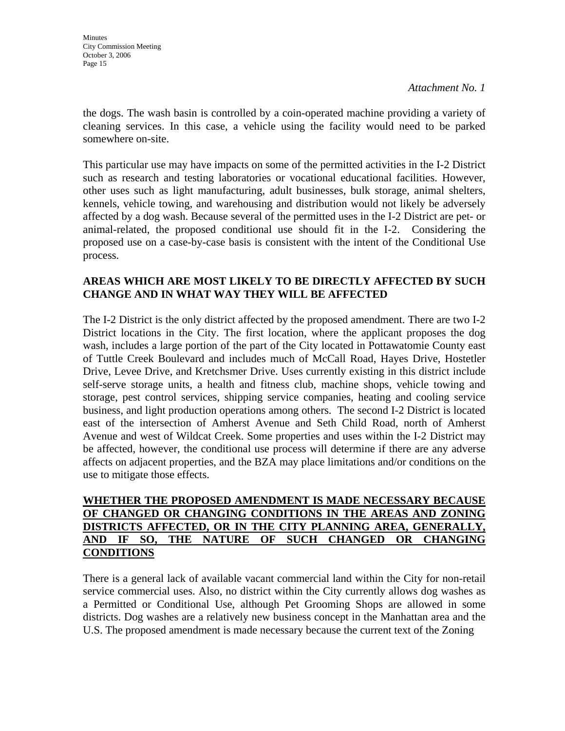the dogs. The wash basin is controlled by a coin-operated machine providing a variety of cleaning services. In this case, a vehicle using the facility would need to be parked somewhere on-site.

This particular use may have impacts on some of the permitted activities in the I-2 District such as research and testing laboratories or vocational educational facilities. However, other uses such as light manufacturing, adult businesses, bulk storage, animal shelters, kennels, vehicle towing, and warehousing and distribution would not likely be adversely affected by a dog wash. Because several of the permitted uses in the I-2 District are pet- or animal-related, the proposed conditional use should fit in the I-2. Considering the proposed use on a case-by-case basis is consistent with the intent of the Conditional Use process.

## **AREAS WHICH ARE MOST LIKELY TO BE DIRECTLY AFFECTED BY SUCH CHANGE AND IN WHAT WAY THEY WILL BE AFFECTED**

The I-2 District is the only district affected by the proposed amendment. There are two I-2 District locations in the City. The first location, where the applicant proposes the dog wash, includes a large portion of the part of the City located in Pottawatomie County east of Tuttle Creek Boulevard and includes much of McCall Road, Hayes Drive, Hostetler Drive, Levee Drive, and Kretchsmer Drive. Uses currently existing in this district include self-serve storage units, a health and fitness club, machine shops, vehicle towing and storage, pest control services, shipping service companies, heating and cooling service business, and light production operations among others. The second I-2 District is located east of the intersection of Amherst Avenue and Seth Child Road, north of Amherst Avenue and west of Wildcat Creek. Some properties and uses within the I-2 District may be affected, however, the conditional use process will determine if there are any adverse affects on adjacent properties, and the BZA may place limitations and/or conditions on the use to mitigate those effects.

## **WHETHER THE PROPOSED AMENDMENT IS MADE NECESSARY BECAUSE OF CHANGED OR CHANGING CONDITIONS IN THE AREAS AND ZONING DISTRICTS AFFECTED, OR IN THE CITY PLANNING AREA, GENERALLY, AND IF SO, THE NATURE OF SUCH CHANGED OR CHANGING CONDITIONS**

There is a general lack of available vacant commercial land within the City for non-retail service commercial uses. Also, no district within the City currently allows dog washes as a Permitted or Conditional Use, although Pet Grooming Shops are allowed in some districts. Dog washes are a relatively new business concept in the Manhattan area and the U.S. The proposed amendment is made necessary because the current text of the Zoning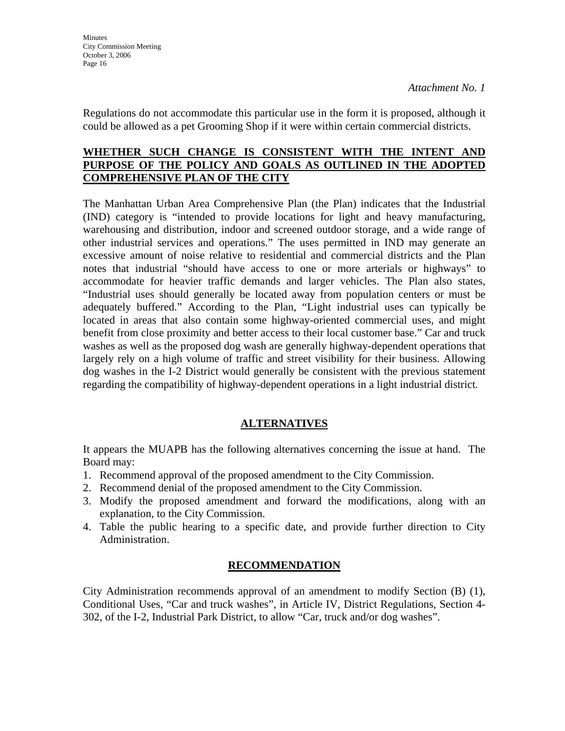Regulations do not accommodate this particular use in the form it is proposed, although it could be allowed as a pet Grooming Shop if it were within certain commercial districts.

#### **WHETHER SUCH CHANGE IS CONSISTENT WITH THE INTENT AND PURPOSE OF THE POLICY AND GOALS AS OUTLINED IN THE ADOPTED COMPREHENSIVE PLAN OF THE CITY**

The Manhattan Urban Area Comprehensive Plan (the Plan) indicates that the Industrial (IND) category is "intended to provide locations for light and heavy manufacturing, warehousing and distribution, indoor and screened outdoor storage, and a wide range of other industrial services and operations." The uses permitted in IND may generate an excessive amount of noise relative to residential and commercial districts and the Plan notes that industrial "should have access to one or more arterials or highways" to accommodate for heavier traffic demands and larger vehicles. The Plan also states, "Industrial uses should generally be located away from population centers or must be adequately buffered." According to the Plan, "Light industrial uses can typically be located in areas that also contain some highway-oriented commercial uses, and might benefit from close proximity and better access to their local customer base." Car and truck washes as well as the proposed dog wash are generally highway-dependent operations that largely rely on a high volume of traffic and street visibility for their business. Allowing dog washes in the I-2 District would generally be consistent with the previous statement regarding the compatibility of highway-dependent operations in a light industrial district*.* 

## **ALTERNATIVES**

It appears the MUAPB has the following alternatives concerning the issue at hand. The Board may:

- 1. Recommend approval of the proposed amendment to the City Commission.
- 2. Recommend denial of the proposed amendment to the City Commission.
- 3. Modify the proposed amendment and forward the modifications, along with an explanation, to the City Commission.
- 4. Table the public hearing to a specific date, and provide further direction to City Administration.

## **RECOMMENDATION**

City Administration recommends approval of an amendment to modify Section (B) (1), Conditional Uses, "Car and truck washes", in Article IV, District Regulations, Section 4- 302, of the I-2, Industrial Park District, to allow "Car, truck and/or dog washes".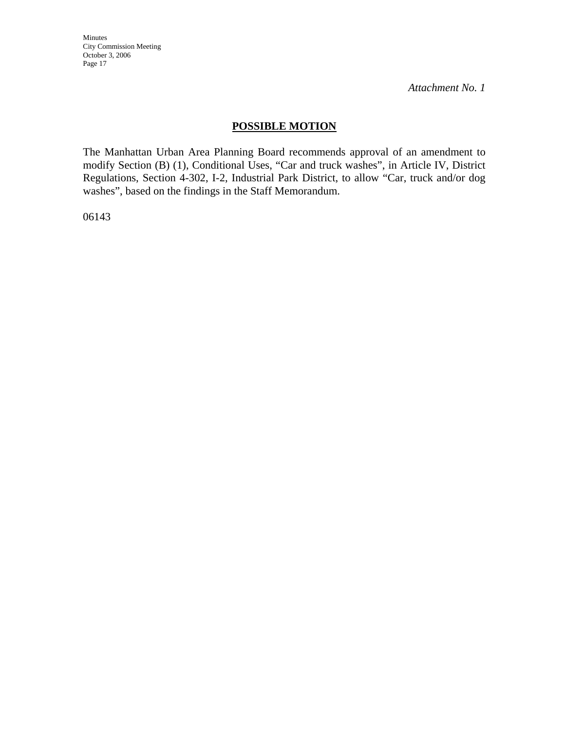Minutes City Commission Meeting October 3, 2006 Page 17

*Attachment No. 1*

## **POSSIBLE MOTION**

The Manhattan Urban Area Planning Board recommends approval of an amendment to modify Section (B) (1), Conditional Uses, "Car and truck washes", in Article IV, District Regulations, Section 4-302, I-2, Industrial Park District, to allow "Car, truck and/or dog washes", based on the findings in the Staff Memorandum.

06143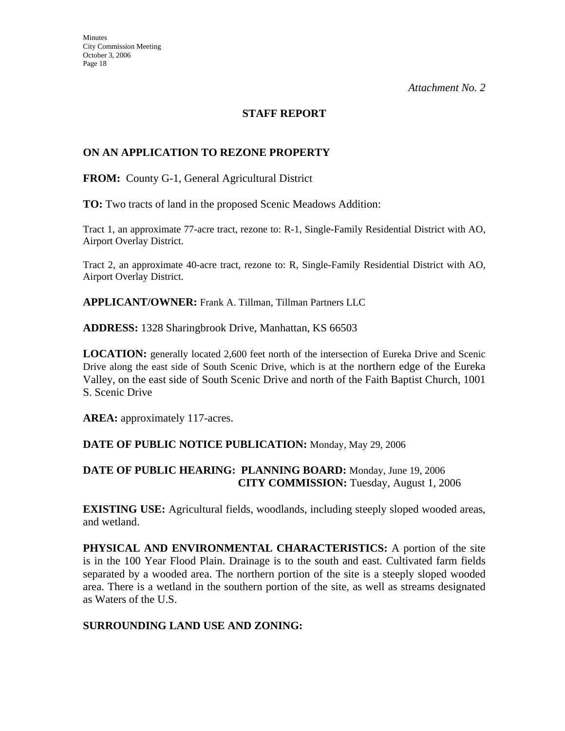## **STAFF REPORT**

## **ON AN APPLICATION TO REZONE PROPERTY**

**FROM:** County G-1, General Agricultural District

**TO:** Two tracts of land in the proposed Scenic Meadows Addition:

Tract 1, an approximate 77-acre tract, rezone to: R-1, Single-Family Residential District with AO, Airport Overlay District.

Tract 2, an approximate 40-acre tract, rezone to: R, Single-Family Residential District with AO, Airport Overlay District.

**APPLICANT/OWNER:** Frank A. Tillman, Tillman Partners LLC

**ADDRESS:** 1328 Sharingbrook Drive, Manhattan, KS 66503

**LOCATION:** generally located 2,600 feet north of the intersection of Eureka Drive and Scenic Drive along the east side of South Scenic Drive, which is at the northern edge of the Eureka Valley, on the east side of South Scenic Drive and north of the Faith Baptist Church, 1001 S. Scenic Drive

**AREA:** approximately 117-acres.

#### **DATE OF PUBLIC NOTICE PUBLICATION:** Monday, May 29, 2006

#### **DATE OF PUBLIC HEARING: PLANNING BOARD:** Monday, June 19, 2006 **CITY COMMISSION:** Tuesday, August 1, 2006

**EXISTING USE:** Agricultural fields, woodlands, including steeply sloped wooded areas, and wetland.

**PHYSICAL AND ENVIRONMENTAL CHARACTERISTICS:** A portion of the site is in the 100 Year Flood Plain. Drainage is to the south and east. Cultivated farm fields separated by a wooded area. The northern portion of the site is a steeply sloped wooded area. There is a wetland in the southern portion of the site, as well as streams designated as Waters of the U.S.

#### **SURROUNDING LAND USE AND ZONING:**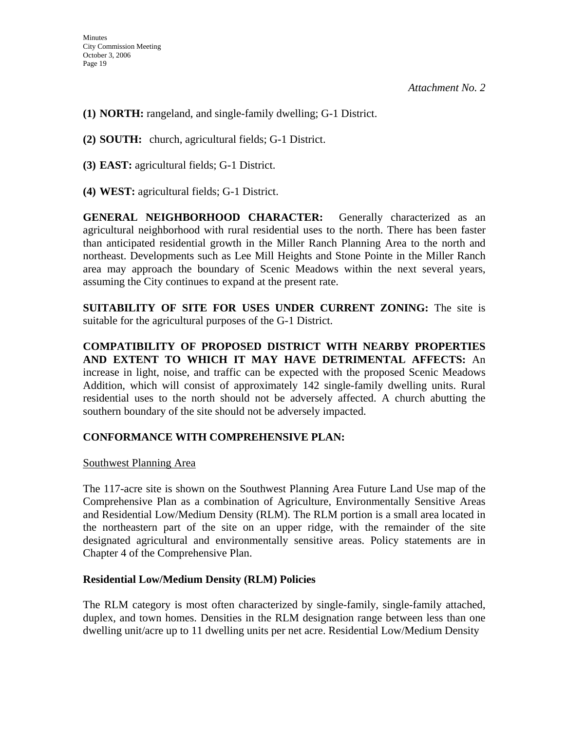- **(1) NORTH:** rangeland, and single-family dwelling; G-1 District.
- **(2) SOUTH:** church, agricultural fields; G-1 District.
- **(3) EAST:** agricultural fields; G-1 District.
- **(4) WEST:** agricultural fields; G-1 District.

**GENERAL NEIGHBORHOOD CHARACTER:** Generally characterized as an agricultural neighborhood with rural residential uses to the north. There has been faster than anticipated residential growth in the Miller Ranch Planning Area to the north and northeast. Developments such as Lee Mill Heights and Stone Pointe in the Miller Ranch area may approach the boundary of Scenic Meadows within the next several years, assuming the City continues to expand at the present rate.

**SUITABILITY OF SITE FOR USES UNDER CURRENT ZONING:** The site is suitable for the agricultural purposes of the G-1 District.

**COMPATIBILITY OF PROPOSED DISTRICT WITH NEARBY PROPERTIES AND EXTENT TO WHICH IT MAY HAVE DETRIMENTAL AFFECTS:** An increase in light, noise, and traffic can be expected with the proposed Scenic Meadows Addition, which will consist of approximately 142 single-family dwelling units. Rural residential uses to the north should not be adversely affected. A church abutting the southern boundary of the site should not be adversely impacted.

## **CONFORMANCE WITH COMPREHENSIVE PLAN:**

#### Southwest Planning Area

The 117-acre site is shown on the Southwest Planning Area Future Land Use map of the Comprehensive Plan as a combination of Agriculture, Environmentally Sensitive Areas and Residential Low/Medium Density (RLM). The RLM portion is a small area located in the northeastern part of the site on an upper ridge, with the remainder of the site designated agricultural and environmentally sensitive areas. Policy statements are in Chapter 4 of the Comprehensive Plan.

## **Residential Low/Medium Density (RLM) Policies**

The RLM category is most often characterized by single-family, single-family attached, duplex, and town homes. Densities in the RLM designation range between less than one dwelling unit/acre up to 11 dwelling units per net acre. Residential Low/Medium Density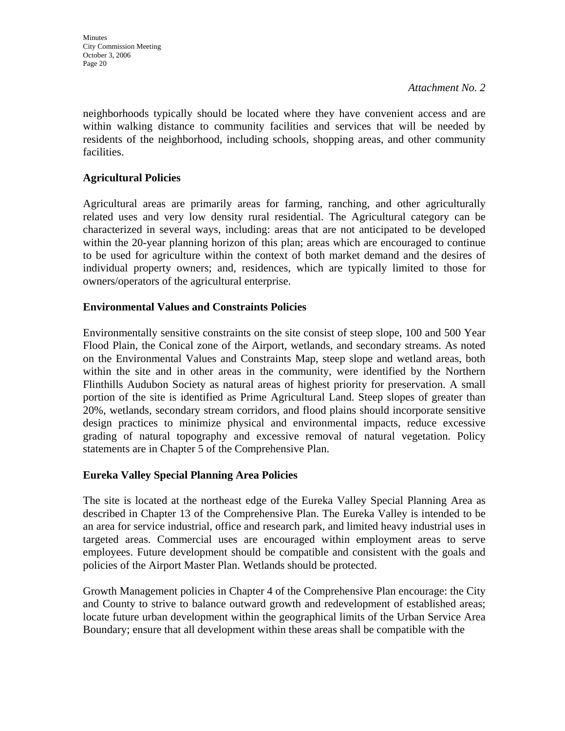**Minutes** City Commission Meeting October 3, 2006 Page 20

neighborhoods typically should be located where they have convenient access and are within walking distance to community facilities and services that will be needed by residents of the neighborhood, including schools, shopping areas, and other community facilities.

## **Agricultural Policies**

Agricultural areas are primarily areas for farming, ranching, and other agriculturally related uses and very low density rural residential. The Agricultural category can be characterized in several ways, including: areas that are not anticipated to be developed within the 20-year planning horizon of this plan; areas which are encouraged to continue to be used for agriculture within the context of both market demand and the desires of individual property owners; and, residences, which are typically limited to those for owners/operators of the agricultural enterprise.

## **Environmental Values and Constraints Policies**

Environmentally sensitive constraints on the site consist of steep slope, 100 and 500 Year Flood Plain, the Conical zone of the Airport, wetlands, and secondary streams. As noted on the Environmental Values and Constraints Map, steep slope and wetland areas, both within the site and in other areas in the community, were identified by the Northern Flinthills Audubon Society as natural areas of highest priority for preservation. A small portion of the site is identified as Prime Agricultural Land. Steep slopes of greater than 20%, wetlands, secondary stream corridors, and flood plains should incorporate sensitive design practices to minimize physical and environmental impacts, reduce excessive grading of natural topography and excessive removal of natural vegetation. Policy statements are in Chapter 5 of the Comprehensive Plan.

## **Eureka Valley Special Planning Area Policies**

The site is located at the northeast edge of the Eureka Valley Special Planning Area as described in Chapter 13 of the Comprehensive Plan. The Eureka Valley is intended to be an area for service industrial, office and research park, and limited heavy industrial uses in targeted areas. Commercial uses are encouraged within employment areas to serve employees. Future development should be compatible and consistent with the goals and policies of the Airport Master Plan. Wetlands should be protected.

Growth Management policies in Chapter 4 of the Comprehensive Plan encourage: the City and County to strive to balance outward growth and redevelopment of established areas; locate future urban development within the geographical limits of the Urban Service Area Boundary; ensure that all development within these areas shall be compatible with the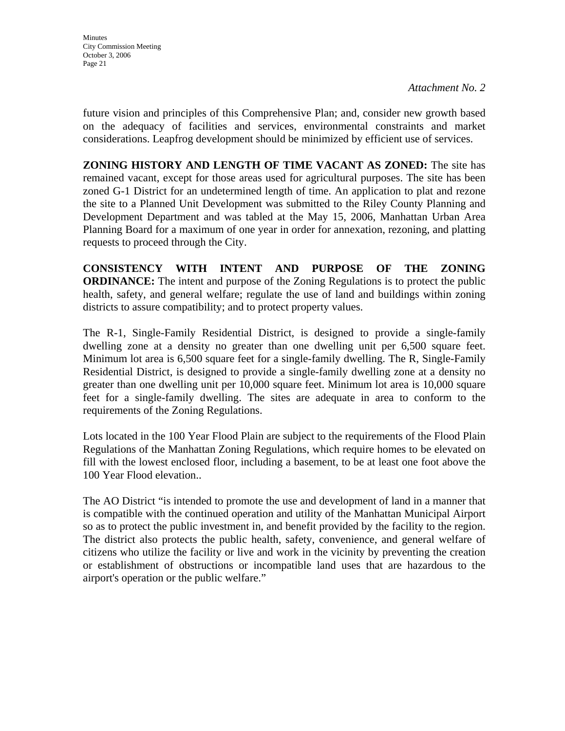future vision and principles of this Comprehensive Plan; and, consider new growth based on the adequacy of facilities and services, environmental constraints and market considerations. Leapfrog development should be minimized by efficient use of services.

**ZONING HISTORY AND LENGTH OF TIME VACANT AS ZONED:** The site has remained vacant, except for those areas used for agricultural purposes. The site has been zoned G-1 District for an undetermined length of time. An application to plat and rezone the site to a Planned Unit Development was submitted to the Riley County Planning and Development Department and was tabled at the May 15, 2006, Manhattan Urban Area Planning Board for a maximum of one year in order for annexation, rezoning, and platting requests to proceed through the City.

**CONSISTENCY WITH INTENT AND PURPOSE OF THE ZONING ORDINANCE:** The intent and purpose of the Zoning Regulations is to protect the public health, safety, and general welfare; regulate the use of land and buildings within zoning districts to assure compatibility; and to protect property values.

The R-1, Single-Family Residential District, is designed to provide a single-family dwelling zone at a density no greater than one dwelling unit per 6,500 square feet. Minimum lot area is 6,500 square feet for a single-family dwelling. The R, Single-Family Residential District, is designed to provide a single-family dwelling zone at a density no greater than one dwelling unit per 10,000 square feet. Minimum lot area is 10,000 square feet for a single-family dwelling. The sites are adequate in area to conform to the requirements of the Zoning Regulations.

Lots located in the 100 Year Flood Plain are subject to the requirements of the Flood Plain Regulations of the Manhattan Zoning Regulations, which require homes to be elevated on fill with the lowest enclosed floor, including a basement, to be at least one foot above the 100 Year Flood elevation..

The AO District "is intended to promote the use and development of land in a manner that is compatible with the continued operation and utility of the Manhattan Municipal Airport so as to protect the public investment in, and benefit provided by the facility to the region. The district also protects the public health, safety, convenience, and general welfare of citizens who utilize the facility or live and work in the vicinity by preventing the creation or establishment of obstructions or incompatible land uses that are hazardous to the airport's operation or the public welfare."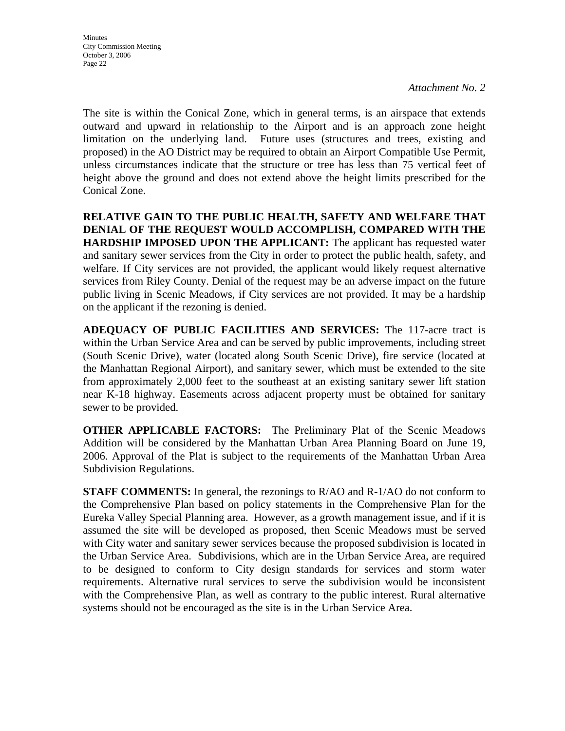The site is within the Conical Zone, which in general terms, is an airspace that extends outward and upward in relationship to the Airport and is an approach zone height limitation on the underlying land. Future uses (structures and trees, existing and proposed) in the AO District may be required to obtain an Airport Compatible Use Permit, unless circumstances indicate that the structure or tree has less than 75 vertical feet of height above the ground and does not extend above the height limits prescribed for the Conical Zone.

**RELATIVE GAIN TO THE PUBLIC HEALTH, SAFETY AND WELFARE THAT DENIAL OF THE REQUEST WOULD ACCOMPLISH, COMPARED WITH THE HARDSHIP IMPOSED UPON THE APPLICANT:** The applicant has requested water and sanitary sewer services from the City in order to protect the public health, safety, and welfare. If City services are not provided, the applicant would likely request alternative services from Riley County. Denial of the request may be an adverse impact on the future public living in Scenic Meadows, if City services are not provided. It may be a hardship on the applicant if the rezoning is denied.

**ADEQUACY OF PUBLIC FACILITIES AND SERVICES:** The 117-acre tract is within the Urban Service Area and can be served by public improvements, including street (South Scenic Drive), water (located along South Scenic Drive), fire service (located at the Manhattan Regional Airport), and sanitary sewer, which must be extended to the site from approximately 2,000 feet to the southeast at an existing sanitary sewer lift station near K-18 highway. Easements across adjacent property must be obtained for sanitary sewer to be provided.

**OTHER APPLICABLE FACTORS:** The Preliminary Plat of the Scenic Meadows Addition will be considered by the Manhattan Urban Area Planning Board on June 19, 2006. Approval of the Plat is subject to the requirements of the Manhattan Urban Area Subdivision Regulations.

**STAFF COMMENTS:** In general, the rezonings to R/AO and R-1/AO do not conform to the Comprehensive Plan based on policy statements in the Comprehensive Plan for the Eureka Valley Special Planning area. However, as a growth management issue, and if it is assumed the site will be developed as proposed, then Scenic Meadows must be served with City water and sanitary sewer services because the proposed subdivision is located in the Urban Service Area. Subdivisions, which are in the Urban Service Area, are required to be designed to conform to City design standards for services and storm water requirements. Alternative rural services to serve the subdivision would be inconsistent with the Comprehensive Plan, as well as contrary to the public interest. Rural alternative systems should not be encouraged as the site is in the Urban Service Area.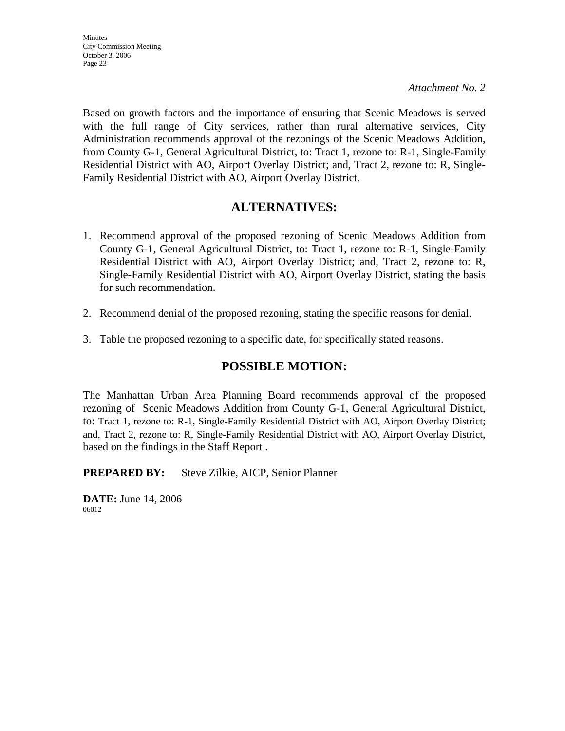Based on growth factors and the importance of ensuring that Scenic Meadows is served with the full range of City services, rather than rural alternative services, City Administration recommends approval of the rezonings of the Scenic Meadows Addition, from County G-1, General Agricultural District, to: Tract 1, rezone to: R-1, Single-Family Residential District with AO, Airport Overlay District; and, Tract 2, rezone to: R, Single-Family Residential District with AO, Airport Overlay District.

## **ALTERNATIVES:**

- 1. Recommend approval of the proposed rezoning of Scenic Meadows Addition from County G-1, General Agricultural District, to: Tract 1, rezone to: R-1, Single-Family Residential District with AO, Airport Overlay District; and, Tract 2, rezone to: R, Single-Family Residential District with AO, Airport Overlay District, stating the basis for such recommendation.
- 2. Recommend denial of the proposed rezoning, stating the specific reasons for denial.
- 3. Table the proposed rezoning to a specific date, for specifically stated reasons.

## **POSSIBLE MOTION:**

The Manhattan Urban Area Planning Board recommends approval of the proposed rezoning of Scenic Meadows Addition from County G-1, General Agricultural District, to: Tract 1, rezone to: R-1, Single-Family Residential District with AO, Airport Overlay District; and, Tract 2, rezone to: R, Single-Family Residential District with AO, Airport Overlay District, based on the findings in the Staff Report .

**PREPARED BY:** Steve Zilkie, AICP, Senior Planner

**DATE:** June 14, 2006 06012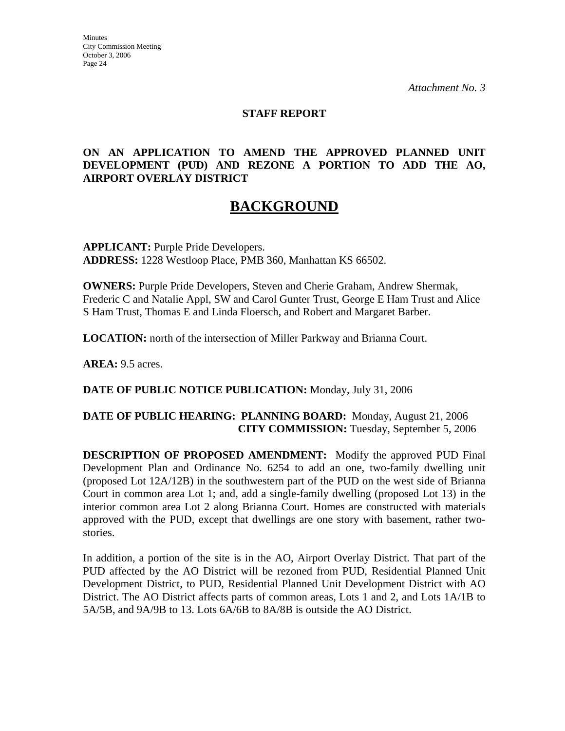**Minutes** City Commission Meeting October 3, 2006 Page 24

*Attachment No. 3*

## **STAFF REPORT**

## **ON AN APPLICATION TO AMEND THE APPROVED PLANNED UNIT DEVELOPMENT (PUD) AND REZONE A PORTION TO ADD THE AO, AIRPORT OVERLAY DISTRICT**

## **BACKGROUND**

**APPLICANT:** Purple Pride Developers. **ADDRESS:** 1228 Westloop Place, PMB 360, Manhattan KS 66502.

**OWNERS:** Purple Pride Developers, Steven and Cherie Graham, Andrew Shermak, Frederic C and Natalie Appl, SW and Carol Gunter Trust, George E Ham Trust and Alice S Ham Trust, Thomas E and Linda Floersch, and Robert and Margaret Barber.

**LOCATION:** north of the intersection of Miller Parkway and Brianna Court.

**AREA:** 9.5 acres.

**DATE OF PUBLIC NOTICE PUBLICATION:** Monday, July 31, 2006

## **DATE OF PUBLIC HEARING: PLANNING BOARD:** Monday, August 21, 2006 **CITY COMMISSION:** Tuesday, September 5, 2006

**DESCRIPTION OF PROPOSED AMENDMENT:** Modify the approved PUD Final Development Plan and Ordinance No. 6254 to add an one, two-family dwelling unit (proposed Lot 12A/12B) in the southwestern part of the PUD on the west side of Brianna Court in common area Lot 1; and, add a single-family dwelling (proposed Lot 13) in the interior common area Lot 2 along Brianna Court. Homes are constructed with materials approved with the PUD, except that dwellings are one story with basement, rather twostories.

In addition, a portion of the site is in the AO, Airport Overlay District. That part of the PUD affected by the AO District will be rezoned from PUD, Residential Planned Unit Development District, to PUD, Residential Planned Unit Development District with AO District. The AO District affects parts of common areas, Lots 1 and 2, and Lots 1A/1B to 5A/5B, and 9A/9B to 13. Lots 6A/6B to 8A/8B is outside the AO District.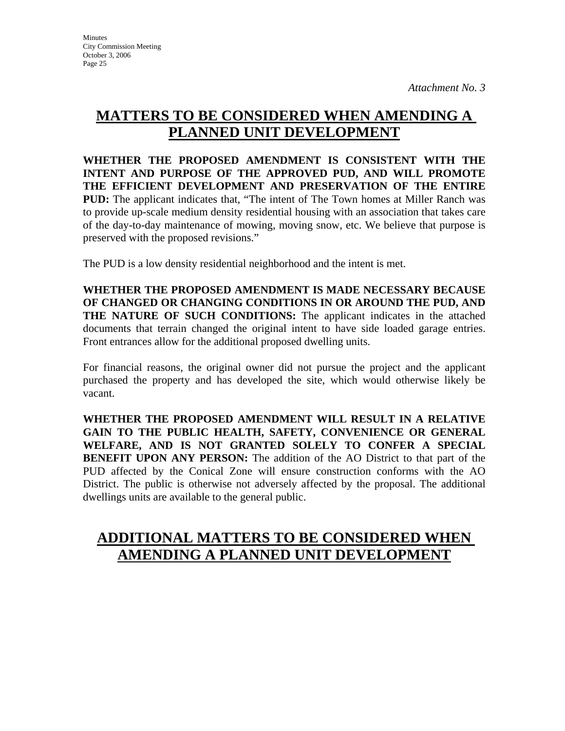## **MATTERS TO BE CONSIDERED WHEN AMENDING A PLANNED UNIT DEVELOPMENT**

**WHETHER THE PROPOSED AMENDMENT IS CONSISTENT WITH THE INTENT AND PURPOSE OF THE APPROVED PUD, AND WILL PROMOTE THE EFFICIENT DEVELOPMENT AND PRESERVATION OF THE ENTIRE PUD:** The applicant indicates that, "The intent of The Town homes at Miller Ranch was to provide up-scale medium density residential housing with an association that takes care of the day-to-day maintenance of mowing, moving snow, etc. We believe that purpose is preserved with the proposed revisions."

The PUD is a low density residential neighborhood and the intent is met.

**WHETHER THE PROPOSED AMENDMENT IS MADE NECESSARY BECAUSE OF CHANGED OR CHANGING CONDITIONS IN OR AROUND THE PUD, AND THE NATURE OF SUCH CONDITIONS:** The applicant indicates in the attached documents that terrain changed the original intent to have side loaded garage entries. Front entrances allow for the additional proposed dwelling units.

For financial reasons, the original owner did not pursue the project and the applicant purchased the property and has developed the site, which would otherwise likely be vacant.

**WHETHER THE PROPOSED AMENDMENT WILL RESULT IN A RELATIVE GAIN TO THE PUBLIC HEALTH, SAFETY, CONVENIENCE OR GENERAL WELFARE, AND IS NOT GRANTED SOLELY TO CONFER A SPECIAL BENEFIT UPON ANY PERSON:** The addition of the AO District to that part of the PUD affected by the Conical Zone will ensure construction conforms with the AO District. The public is otherwise not adversely affected by the proposal. The additional dwellings units are available to the general public.

## **ADDITIONAL MATTERS TO BE CONSIDERED WHEN AMENDING A PLANNED UNIT DEVELOPMENT**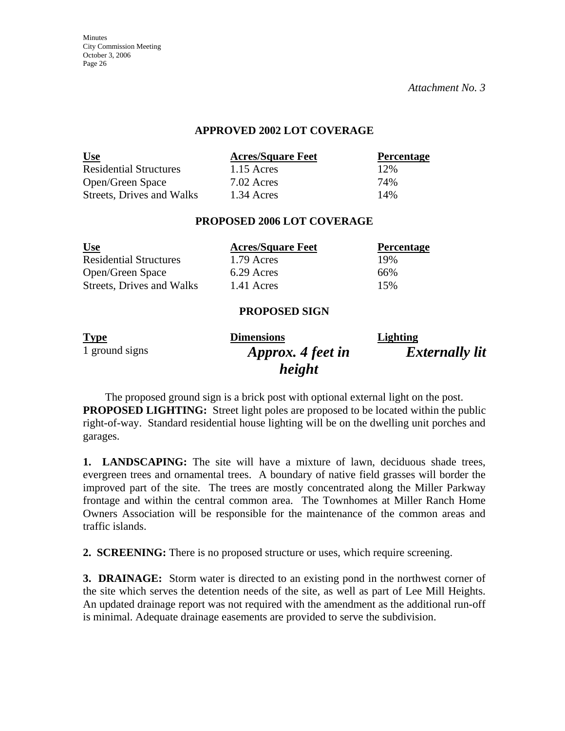**Minutes** City Commission Meeting October 3, 2006 Page 26

*Attachment No. 3*

#### **APPROVED 2002 LOT COVERAGE**

| <u>Use</u>                    | <b>Acres/Square Feet</b> | <b>Percentage</b> |
|-------------------------------|--------------------------|-------------------|
| <b>Residential Structures</b> | $1.15$ Acres             | 12%               |
| Open/Green Space              | 7.02 Acres               | 74%               |
| Streets, Drives and Walks     | 1.34 Acres               | 14%               |

#### **PROPOSED 2006 LOT COVERAGE**

| <u>Use</u>                    | <b>Acres/Square Feet</b> | <b>Percentage</b> |
|-------------------------------|--------------------------|-------------------|
| <b>Residential Structures</b> | 1.79 Acres               | 19%               |
| Open/Green Space              | 6.29 Acres               | 66%               |
| Streets, Drives and Walks     | 1.41 Acres               | 15%               |

#### **PROPOSED SIGN**

| <b>Type</b>    | <b>Dimensions</b> | <b>Lighting</b>       |
|----------------|-------------------|-----------------------|
| 1 ground signs | Approx. 4 feet in | <b>Externally lit</b> |
|                | height            |                       |

The proposed ground sign is a brick post with optional external light on the post. **PROPOSED LIGHTING:** Street light poles are proposed to be located within the public right-of-way. Standard residential house lighting will be on the dwelling unit porches and garages.

**1. LANDSCAPING:** The site will have a mixture of lawn, deciduous shade trees, evergreen trees and ornamental trees. A boundary of native field grasses will border the improved part of the site. The trees are mostly concentrated along the Miller Parkway frontage and within the central common area. The Townhomes at Miller Ranch Home Owners Association will be responsible for the maintenance of the common areas and traffic islands.

**2. SCREENING:** There is no proposed structure or uses, which require screening.

**3. DRAINAGE:** Storm water is directed to an existing pond in the northwest corner of the site which serves the detention needs of the site, as well as part of Lee Mill Heights. An updated drainage report was not required with the amendment as the additional run-off is minimal. Adequate drainage easements are provided to serve the subdivision.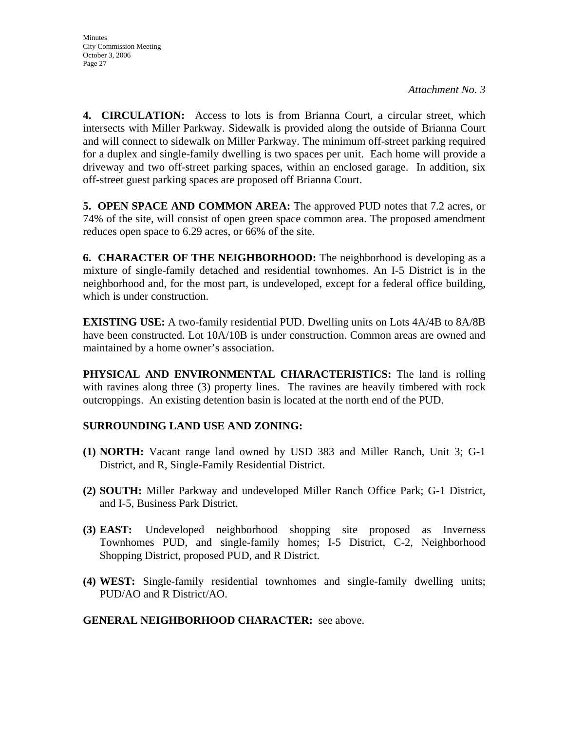**4. CIRCULATION:** Access to lots is from Brianna Court, a circular street, which intersects with Miller Parkway. Sidewalk is provided along the outside of Brianna Court and will connect to sidewalk on Miller Parkway. The minimum off-street parking required for a duplex and single-family dwelling is two spaces per unit. Each home will provide a driveway and two off-street parking spaces, within an enclosed garage. In addition, six off-street guest parking spaces are proposed off Brianna Court.

**5. OPEN SPACE AND COMMON AREA:** The approved PUD notes that 7.2 acres, or 74% of the site, will consist of open green space common area. The proposed amendment reduces open space to 6.29 acres, or 66% of the site.

**6. CHARACTER OF THE NEIGHBORHOOD:** The neighborhood is developing as a mixture of single-family detached and residential townhomes. An I-5 District is in the neighborhood and, for the most part, is undeveloped, except for a federal office building, which is under construction.

**EXISTING USE:** A two-family residential PUD. Dwelling units on Lots 4A/4B to 8A/8B have been constructed. Lot 10A/10B is under construction. Common areas are owned and maintained by a home owner's association.

**PHYSICAL AND ENVIRONMENTAL CHARACTERISTICS:** The land is rolling with ravines along three (3) property lines. The ravines are heavily timbered with rock outcroppings. An existing detention basin is located at the north end of the PUD.

## **SURROUNDING LAND USE AND ZONING:**

- **(1) NORTH:** Vacant range land owned by USD 383 and Miller Ranch, Unit 3; G-1 District, and R, Single-Family Residential District.
- **(2) SOUTH:** Miller Parkway and undeveloped Miller Ranch Office Park; G-1 District, and I-5, Business Park District.
- **(3) EAST:** Undeveloped neighborhood shopping site proposed as Inverness Townhomes PUD, and single-family homes; I-5 District, C-2, Neighborhood Shopping District, proposed PUD, and R District.
- **(4) WEST:** Single-family residential townhomes and single-family dwelling units; PUD/AO and R District/AO.

## **GENERAL NEIGHBORHOOD CHARACTER:** see above.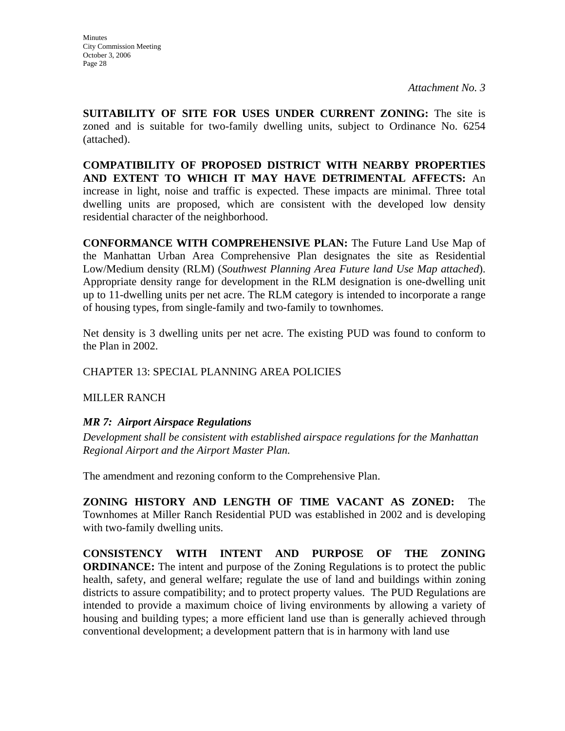**Minutes** City Commission Meeting October 3, 2006 Page 28

*Attachment No. 3*

**SUITABILITY OF SITE FOR USES UNDER CURRENT ZONING:** The site is zoned and is suitable for two-family dwelling units, subject to Ordinance No. 6254 (attached).

**COMPATIBILITY OF PROPOSED DISTRICT WITH NEARBY PROPERTIES AND EXTENT TO WHICH IT MAY HAVE DETRIMENTAL AFFECTS:** An increase in light, noise and traffic is expected. These impacts are minimal. Three total dwelling units are proposed, which are consistent with the developed low density residential character of the neighborhood.

**CONFORMANCE WITH COMPREHENSIVE PLAN:** The Future Land Use Map of the Manhattan Urban Area Comprehensive Plan designates the site as Residential Low/Medium density (RLM) (*Southwest Planning Area Future land Use Map attached*). Appropriate density range for development in the RLM designation is one-dwelling unit up to 11-dwelling units per net acre. The RLM category is intended to incorporate a range of housing types, from single-family and two-family to townhomes.

Net density is 3 dwelling units per net acre. The existing PUD was found to conform to the Plan in 2002.

CHAPTER 13: SPECIAL PLANNING AREA POLICIES

MILLER RANCH

## *MR 7: Airport Airspace Regulations*

*Development shall be consistent with established airspace regulations for the Manhattan Regional Airport and the Airport Master Plan.* 

The amendment and rezoning conform to the Comprehensive Plan.

**ZONING HISTORY AND LENGTH OF TIME VACANT AS ZONED:** The Townhomes at Miller Ranch Residential PUD was established in 2002 and is developing with two-family dwelling units.

**CONSISTENCY WITH INTENT AND PURPOSE OF THE ZONING ORDINANCE:** The intent and purpose of the Zoning Regulations is to protect the public health, safety, and general welfare; regulate the use of land and buildings within zoning districts to assure compatibility; and to protect property values. The PUD Regulations are intended to provide a maximum choice of living environments by allowing a variety of housing and building types; a more efficient land use than is generally achieved through conventional development; a development pattern that is in harmony with land use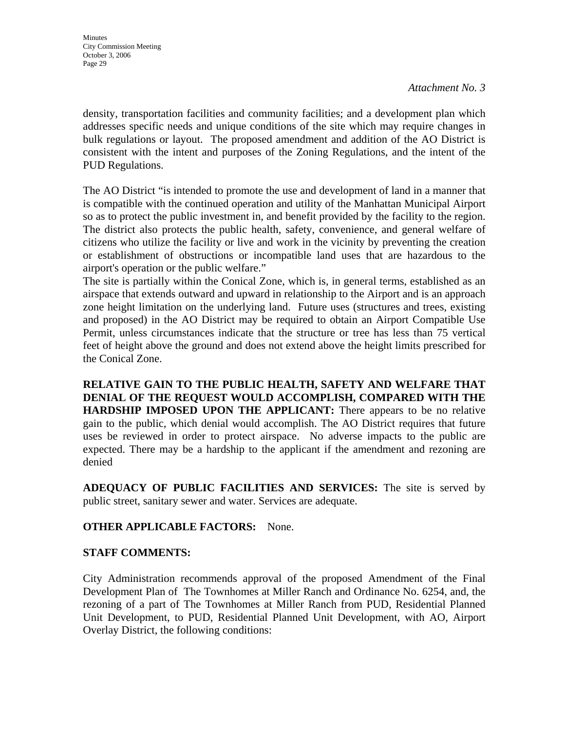density, transportation facilities and community facilities; and a development plan which addresses specific needs and unique conditions of the site which may require changes in bulk regulations or layout. The proposed amendment and addition of the AO District is consistent with the intent and purposes of the Zoning Regulations, and the intent of the PUD Regulations.

The AO District "is intended to promote the use and development of land in a manner that is compatible with the continued operation and utility of the Manhattan Municipal Airport so as to protect the public investment in, and benefit provided by the facility to the region. The district also protects the public health, safety, convenience, and general welfare of citizens who utilize the facility or live and work in the vicinity by preventing the creation or establishment of obstructions or incompatible land uses that are hazardous to the airport's operation or the public welfare."

The site is partially within the Conical Zone, which is, in general terms, established as an airspace that extends outward and upward in relationship to the Airport and is an approach zone height limitation on the underlying land. Future uses (structures and trees, existing and proposed) in the AO District may be required to obtain an Airport Compatible Use Permit, unless circumstances indicate that the structure or tree has less than 75 vertical feet of height above the ground and does not extend above the height limits prescribed for the Conical Zone.

**RELATIVE GAIN TO THE PUBLIC HEALTH, SAFETY AND WELFARE THAT DENIAL OF THE REQUEST WOULD ACCOMPLISH, COMPARED WITH THE HARDSHIP IMPOSED UPON THE APPLICANT:** There appears to be no relative gain to the public, which denial would accomplish. The AO District requires that future uses be reviewed in order to protect airspace. No adverse impacts to the public are expected. There may be a hardship to the applicant if the amendment and rezoning are denied

**ADEQUACY OF PUBLIC FACILITIES AND SERVICES:** The site is served by public street, sanitary sewer and water. Services are adequate.

## **OTHER APPLICABLE FACTORS:** None.

## **STAFF COMMENTS:**

City Administration recommends approval of the proposed Amendment of the Final Development Plan of The Townhomes at Miller Ranch and Ordinance No. 6254, and, the rezoning of a part of The Townhomes at Miller Ranch from PUD, Residential Planned Unit Development, to PUD, Residential Planned Unit Development, with AO, Airport Overlay District, the following conditions: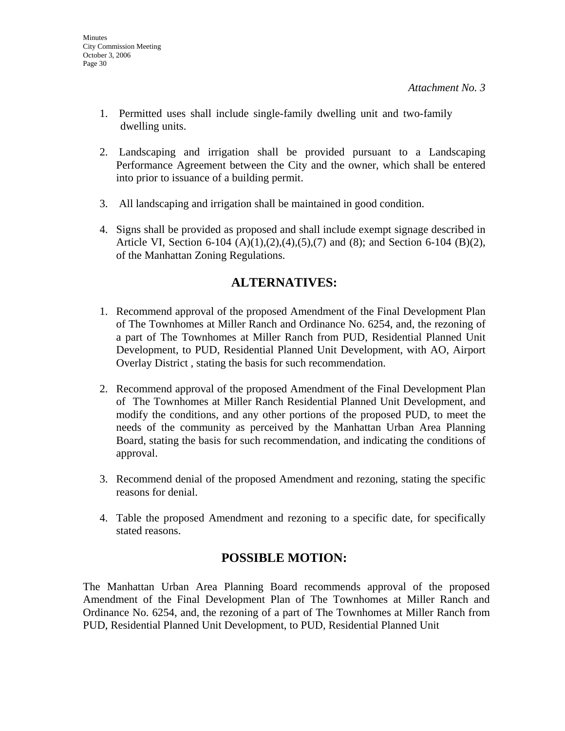- 1. Permitted uses shall include single-family dwelling unit and two-family dwelling units.
- 2. Landscaping and irrigation shall be provided pursuant to a Landscaping Performance Agreement between the City and the owner, which shall be entered into prior to issuance of a building permit.
- 3. All landscaping and irrigation shall be maintained in good condition.
- 4. Signs shall be provided as proposed and shall include exempt signage described in Article VI, Section 6-104 (A)(1),(2),(4),(5),(7) and (8); and Section 6-104 (B)(2), of the Manhattan Zoning Regulations.

## **ALTERNATIVES:**

- 1. Recommend approval of the proposed Amendment of the Final Development Plan of The Townhomes at Miller Ranch and Ordinance No. 6254, and, the rezoning of a part of The Townhomes at Miller Ranch from PUD, Residential Planned Unit Development, to PUD, Residential Planned Unit Development, with AO, Airport Overlay District , stating the basis for such recommendation.
- 2. Recommend approval of the proposed Amendment of the Final Development Plan of The Townhomes at Miller Ranch Residential Planned Unit Development, and modify the conditions, and any other portions of the proposed PUD, to meet the needs of the community as perceived by the Manhattan Urban Area Planning Board, stating the basis for such recommendation, and indicating the conditions of approval.
- 3. Recommend denial of the proposed Amendment and rezoning, stating the specific reasons for denial.
- 4. Table the proposed Amendment and rezoning to a specific date, for specifically stated reasons.

## **POSSIBLE MOTION:**

The Manhattan Urban Area Planning Board recommends approval of the proposed Amendment of the Final Development Plan of The Townhomes at Miller Ranch and Ordinance No. 6254, and, the rezoning of a part of The Townhomes at Miller Ranch from PUD, Residential Planned Unit Development, to PUD, Residential Planned Unit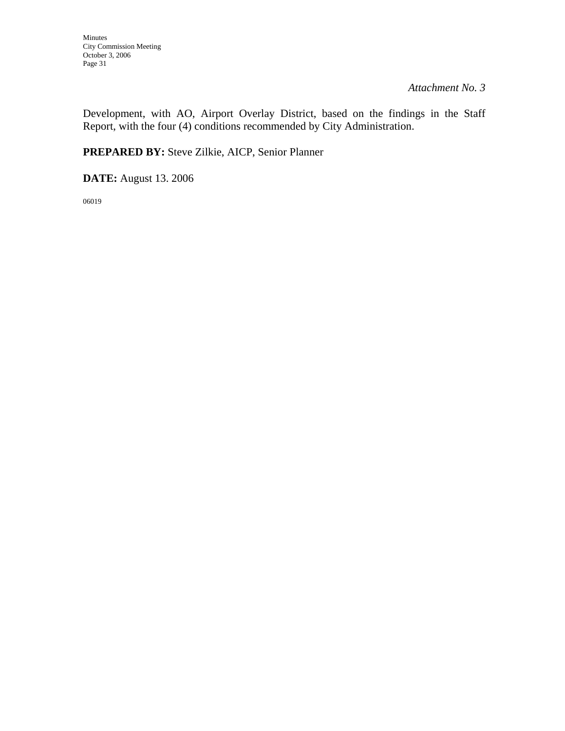Development, with AO, Airport Overlay District, based on the findings in the Staff Report, with the four (4) conditions recommended by City Administration.

**PREPARED BY:** Steve Zilkie, AICP, Senior Planner

**DATE:** August 13. 2006

06019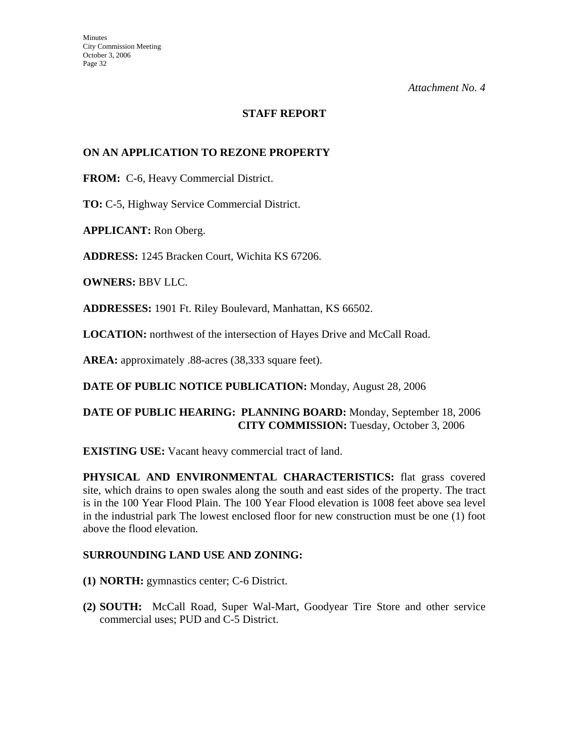## **STAFF REPORT**

## **ON AN APPLICATION TO REZONE PROPERTY**

**FROM:** C-6, Heavy Commercial District.

**TO:** C-5, Highway Service Commercial District.

**APPLICANT:** Ron Oberg.

**ADDRESS:** 1245 Bracken Court, Wichita KS 67206.

**OWNERS:** BBV LLC.

**ADDRESSES:** 1901 Ft. Riley Boulevard, Manhattan, KS 66502.

**LOCATION:** northwest of the intersection of Hayes Drive and McCall Road.

**AREA:** approximately .88-acres (38,333 square feet).

**DATE OF PUBLIC NOTICE PUBLICATION:** Monday, August 28, 2006

## **DATE OF PUBLIC HEARING: PLANNING BOARD:** Monday, September 18, 2006 **CITY COMMISSION:** Tuesday, October 3, 2006

**EXISTING USE:** Vacant heavy commercial tract of land.

**PHYSICAL AND ENVIRONMENTAL CHARACTERISTICS:** flat grass covered site, which drains to open swales along the south and east sides of the property. The tract is in the 100 Year Flood Plain. The 100 Year Flood elevation is 1008 feet above sea level in the industrial park The lowest enclosed floor for new construction must be one (1) foot above the flood elevation.

## **SURROUNDING LAND USE AND ZONING:**

- **(1) NORTH:** gymnastics center; C-6 District.
- **(2) SOUTH:** McCall Road, Super Wal-Mart, Goodyear Tire Store and other service commercial uses; PUD and C-5 District.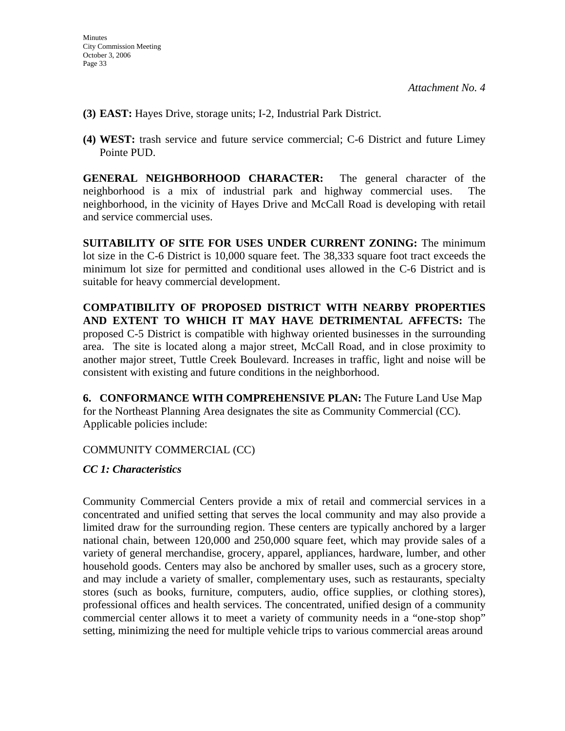- **(3) EAST:** Hayes Drive, storage units; I-2, Industrial Park District.
- **(4) WEST:** trash service and future service commercial; C-6 District and future Limey Pointe PUD.

**GENERAL NEIGHBORHOOD CHARACTER:** The general character of the neighborhood is a mix of industrial park and highway commercial uses. The neighborhood, in the vicinity of Hayes Drive and McCall Road is developing with retail and service commercial uses.

**SUITABILITY OF SITE FOR USES UNDER CURRENT ZONING:** The minimum lot size in the C-6 District is 10,000 square feet. The 38,333 square foot tract exceeds the minimum lot size for permitted and conditional uses allowed in the C-6 District and is suitable for heavy commercial development.

**COMPATIBILITY OF PROPOSED DISTRICT WITH NEARBY PROPERTIES AND EXTENT TO WHICH IT MAY HAVE DETRIMENTAL AFFECTS:** The proposed C-5 District is compatible with highway oriented businesses in the surrounding area. The site is located along a major street, McCall Road, and in close proximity to another major street, Tuttle Creek Boulevard. Increases in traffic, light and noise will be consistent with existing and future conditions in the neighborhood.

**6. CONFORMANCE WITH COMPREHENSIVE PLAN:** The Future Land Use Map for the Northeast Planning Area designates the site as Community Commercial (CC). Applicable policies include:

## COMMUNITY COMMERCIAL (CC)

## *CC 1: Characteristics*

Community Commercial Centers provide a mix of retail and commercial services in a concentrated and unified setting that serves the local community and may also provide a limited draw for the surrounding region. These centers are typically anchored by a larger national chain, between 120,000 and 250,000 square feet, which may provide sales of a variety of general merchandise, grocery, apparel, appliances, hardware, lumber, and other household goods. Centers may also be anchored by smaller uses, such as a grocery store, and may include a variety of smaller, complementary uses, such as restaurants, specialty stores (such as books, furniture, computers, audio, office supplies, or clothing stores), professional offices and health services. The concentrated, unified design of a community commercial center allows it to meet a variety of community needs in a "one-stop shop" setting, minimizing the need for multiple vehicle trips to various commercial areas around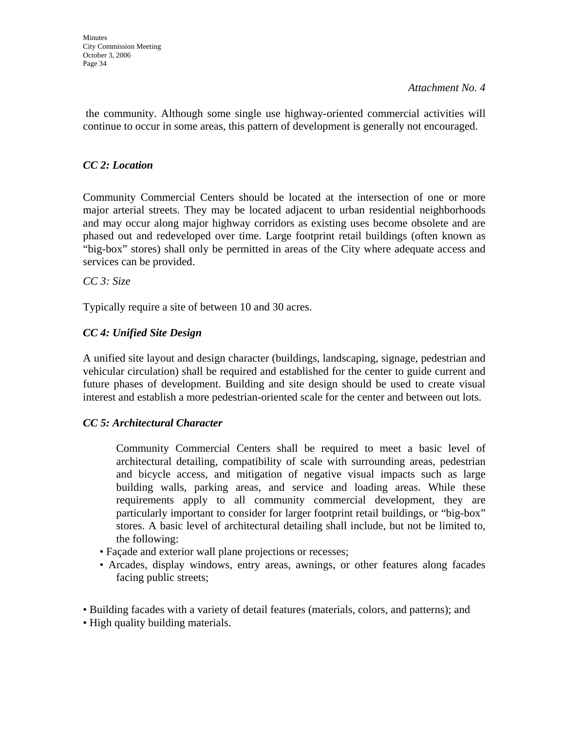the community. Although some single use highway-oriented commercial activities will continue to occur in some areas, this pattern of development is generally not encouraged.

## *CC 2: Location*

Community Commercial Centers should be located at the intersection of one or more major arterial streets. They may be located adjacent to urban residential neighborhoods and may occur along major highway corridors as existing uses become obsolete and are phased out and redeveloped over time. Large footprint retail buildings (often known as "big-box" stores) shall only be permitted in areas of the City where adequate access and services can be provided.

*CC 3: Size* 

Typically require a site of between 10 and 30 acres.

## *CC 4: Unified Site Design*

A unified site layout and design character (buildings, landscaping, signage, pedestrian and vehicular circulation) shall be required and established for the center to guide current and future phases of development. Building and site design should be used to create visual interest and establish a more pedestrian-oriented scale for the center and between out lots.

## *CC 5: Architectural Character*

 Community Commercial Centers shall be required to meet a basic level of architectural detailing, compatibility of scale with surrounding areas, pedestrian and bicycle access, and mitigation of negative visual impacts such as large building walls, parking areas, and service and loading areas. While these requirements apply to all community commercial development, they are particularly important to consider for larger footprint retail buildings, or "big-box" stores. A basic level of architectural detailing shall include, but not be limited to, the following:

- Façade and exterior wall plane projections or recesses;
- Arcades, display windows, entry areas, awnings, or other features along facades facing public streets;
- Building facades with a variety of detail features (materials, colors, and patterns); and
- High quality building materials.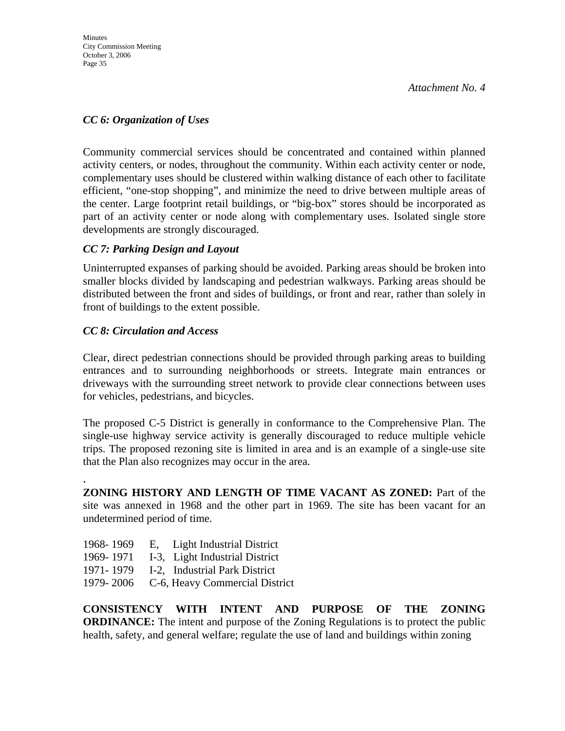## *CC 6: Organization of Uses*

Community commercial services should be concentrated and contained within planned activity centers, or nodes, throughout the community. Within each activity center or node, complementary uses should be clustered within walking distance of each other to facilitate efficient, "one-stop shopping", and minimize the need to drive between multiple areas of the center. Large footprint retail buildings, or "big-box" stores should be incorporated as part of an activity center or node along with complementary uses. Isolated single store developments are strongly discouraged.

## *CC 7: Parking Design and Layout*

Uninterrupted expanses of parking should be avoided. Parking areas should be broken into smaller blocks divided by landscaping and pedestrian walkways. Parking areas should be distributed between the front and sides of buildings, or front and rear, rather than solely in front of buildings to the extent possible.

## *CC 8: Circulation and Access*

.

Clear, direct pedestrian connections should be provided through parking areas to building entrances and to surrounding neighborhoods or streets. Integrate main entrances or driveways with the surrounding street network to provide clear connections between uses for vehicles, pedestrians, and bicycles.

The proposed C-5 District is generally in conformance to the Comprehensive Plan. The single-use highway service activity is generally discouraged to reduce multiple vehicle trips. The proposed rezoning site is limited in area and is an example of a single-use site that the Plan also recognizes may occur in the area.

**ZONING HISTORY AND LENGTH OF TIME VACANT AS ZONED:** Part of the site was annexed in 1968 and the other part in 1969. The site has been vacant for an undetermined period of time.

- 1968- 1969 E, Light Industrial District
- 1969- 1971 I-3, Light Industrial District
- 1971- 1979 I-2, Industrial Park District
- 1979- 2006 C-6, Heavy Commercial District

**CONSISTENCY WITH INTENT AND PURPOSE OF THE ZONING ORDINANCE:** The intent and purpose of the Zoning Regulations is to protect the public health, safety, and general welfare; regulate the use of land and buildings within zoning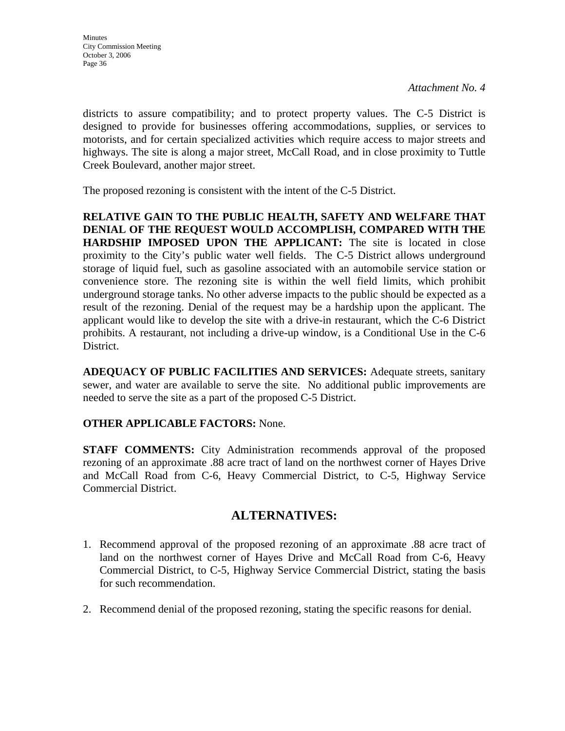districts to assure compatibility; and to protect property values. The C-5 District is designed to provide for businesses offering accommodations, supplies, or services to motorists, and for certain specialized activities which require access to major streets and highways. The site is along a major street, McCall Road, and in close proximity to Tuttle Creek Boulevard, another major street.

The proposed rezoning is consistent with the intent of the C-5 District.

**RELATIVE GAIN TO THE PUBLIC HEALTH, SAFETY AND WELFARE THAT DENIAL OF THE REQUEST WOULD ACCOMPLISH, COMPARED WITH THE HARDSHIP IMPOSED UPON THE APPLICANT:** The site is located in close proximity to the City's public water well fields. The C-5 District allows underground storage of liquid fuel, such as gasoline associated with an automobile service station or convenience store. The rezoning site is within the well field limits, which prohibit underground storage tanks. No other adverse impacts to the public should be expected as a result of the rezoning. Denial of the request may be a hardship upon the applicant. The applicant would like to develop the site with a drive-in restaurant, which the C-6 District prohibits. A restaurant, not including a drive-up window, is a Conditional Use in the C-6 District.

**ADEQUACY OF PUBLIC FACILITIES AND SERVICES:** Adequate streets, sanitary sewer, and water are available to serve the site. No additional public improvements are needed to serve the site as a part of the proposed C-5 District.

## **OTHER APPLICABLE FACTORS:** None.

**STAFF COMMENTS:** City Administration recommends approval of the proposed rezoning of an approximate .88 acre tract of land on the northwest corner of Hayes Drive and McCall Road from C-6, Heavy Commercial District, to C-5, Highway Service Commercial District.

## **ALTERNATIVES:**

- 1. Recommend approval of the proposed rezoning of an approximate .88 acre tract of land on the northwest corner of Hayes Drive and McCall Road from C-6, Heavy Commercial District, to C-5, Highway Service Commercial District, stating the basis for such recommendation.
- 2. Recommend denial of the proposed rezoning, stating the specific reasons for denial.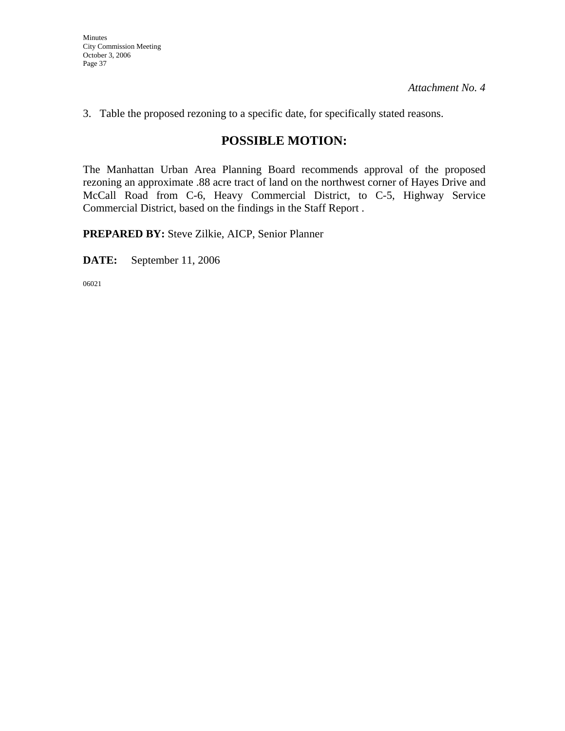Minutes City Commission Meeting October 3, 2006 Page 37

*Attachment No. 4* 

3. Table the proposed rezoning to a specific date, for specifically stated reasons.

## **POSSIBLE MOTION:**

The Manhattan Urban Area Planning Board recommends approval of the proposed rezoning an approximate .88 acre tract of land on the northwest corner of Hayes Drive and McCall Road from C-6, Heavy Commercial District, to C-5, Highway Service Commercial District, based on the findings in the Staff Report .

**PREPARED BY:** Steve Zilkie, AICP, Senior Planner

**DATE:** September 11, 2006

06021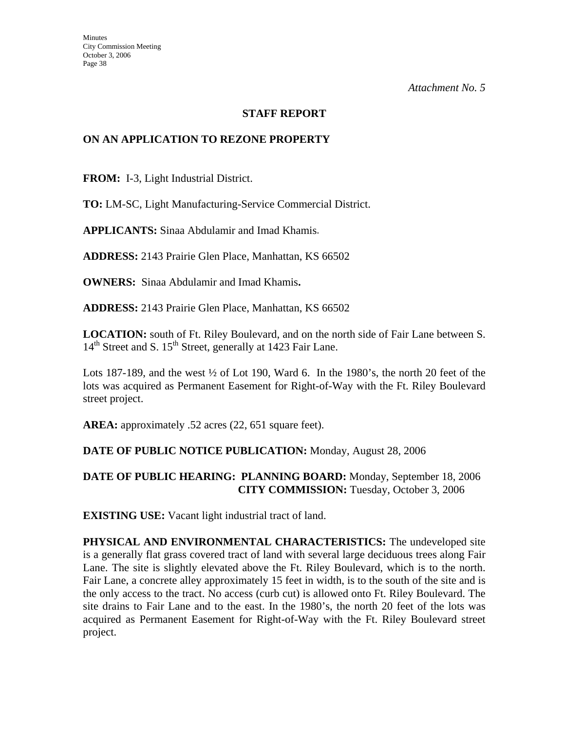#### **STAFF REPORT**

#### **ON AN APPLICATION TO REZONE PROPERTY**

**FROM:** I-3, Light Industrial District.

**TO:** LM-SC, Light Manufacturing-Service Commercial District.

**APPLICANTS:** Sinaa Abdulamir and Imad Khamis.

**ADDRESS:** 2143 Prairie Glen Place, Manhattan, KS 66502

**OWNERS:** Sinaa Abdulamir and Imad Khamis**.** 

**ADDRESS:** 2143 Prairie Glen Place, Manhattan, KS 66502

**LOCATION:** south of Ft. Riley Boulevard, and on the north side of Fair Lane between S. 14<sup>th</sup> Street and S. 15<sup>th</sup> Street, generally at 1423 Fair Lane.

Lots 187-189, and the west  $\frac{1}{2}$  of Lot 190, Ward 6. In the 1980's, the north 20 feet of the lots was acquired as Permanent Easement for Right-of-Way with the Ft. Riley Boulevard street project.

AREA: approximately .52 acres (22, 651 square feet).

#### **DATE OF PUBLIC NOTICE PUBLICATION:** Monday, August 28, 2006

#### **DATE OF PUBLIC HEARING: PLANNING BOARD:** Monday, September 18, 2006 **CITY COMMISSION:** Tuesday, October 3, 2006

**EXISTING USE:** Vacant light industrial tract of land.

**PHYSICAL AND ENVIRONMENTAL CHARACTERISTICS:** The undeveloped site is a generally flat grass covered tract of land with several large deciduous trees along Fair Lane. The site is slightly elevated above the Ft. Riley Boulevard, which is to the north. Fair Lane, a concrete alley approximately 15 feet in width, is to the south of the site and is the only access to the tract. No access (curb cut) is allowed onto Ft. Riley Boulevard. The site drains to Fair Lane and to the east. In the 1980's, the north 20 feet of the lots was acquired as Permanent Easement for Right-of-Way with the Ft. Riley Boulevard street project.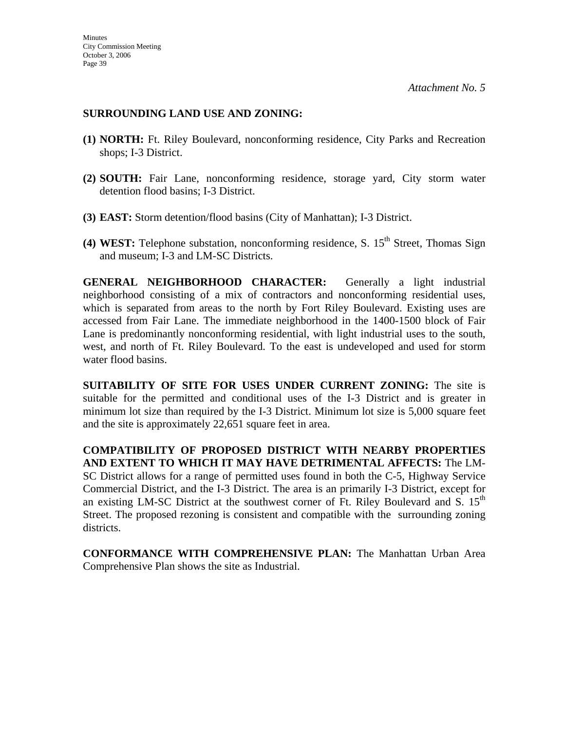#### **SURROUNDING LAND USE AND ZONING:**

- **(1) NORTH:** Ft. Riley Boulevard, nonconforming residence, City Parks and Recreation shops; I-3 District.
- **(2) SOUTH:** Fair Lane, nonconforming residence, storage yard, City storm water detention flood basins; I-3 District.
- **(3) EAST:** Storm detention/flood basins (City of Manhattan); I-3 District.
- **(4) WEST:** Telephone substation, nonconforming residence, S.  $15<sup>th</sup>$  Street, Thomas Sign and museum; I-3 and LM-SC Districts.

**GENERAL NEIGHBORHOOD CHARACTER:** Generally a light industrial neighborhood consisting of a mix of contractors and nonconforming residential uses, which is separated from areas to the north by Fort Riley Boulevard. Existing uses are accessed from Fair Lane. The immediate neighborhood in the 1400-1500 block of Fair Lane is predominantly nonconforming residential, with light industrial uses to the south, west, and north of Ft. Riley Boulevard. To the east is undeveloped and used for storm water flood basins.

**SUITABILITY OF SITE FOR USES UNDER CURRENT ZONING:** The site is suitable for the permitted and conditional uses of the I-3 District and is greater in minimum lot size than required by the I-3 District. Minimum lot size is 5,000 square feet and the site is approximately 22,651 square feet in area.

**COMPATIBILITY OF PROPOSED DISTRICT WITH NEARBY PROPERTIES AND EXTENT TO WHICH IT MAY HAVE DETRIMENTAL AFFECTS:** The LM-SC District allows for a range of permitted uses found in both the C-5, Highway Service Commercial District, and the I-3 District. The area is an primarily I-3 District, except for an existing LM-SC District at the southwest corner of Ft. Riley Boulevard and S.  $15<sup>th</sup>$ Street. The proposed rezoning is consistent and compatible with the surrounding zoning districts.

**CONFORMANCE WITH COMPREHENSIVE PLAN:** The Manhattan Urban Area Comprehensive Plan shows the site as Industrial.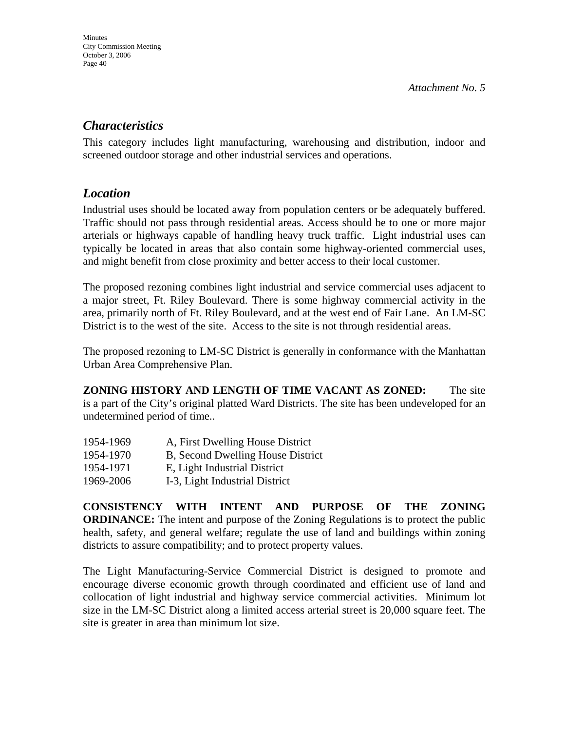## *Characteristics*

This category includes light manufacturing, warehousing and distribution, indoor and screened outdoor storage and other industrial services and operations.

## *Location*

Industrial uses should be located away from population centers or be adequately buffered. Traffic should not pass through residential areas. Access should be to one or more major arterials or highways capable of handling heavy truck traffic. Light industrial uses can typically be located in areas that also contain some highway-oriented commercial uses, and might benefit from close proximity and better access to their local customer.

The proposed rezoning combines light industrial and service commercial uses adjacent to a major street, Ft. Riley Boulevard. There is some highway commercial activity in the area, primarily north of Ft. Riley Boulevard, and at the west end of Fair Lane. An LM-SC District is to the west of the site. Access to the site is not through residential areas.

The proposed rezoning to LM-SC District is generally in conformance with the Manhattan Urban Area Comprehensive Plan.

**ZONING HISTORY AND LENGTH OF TIME VACANT AS ZONED:** The site is a part of the City's original platted Ward Districts. The site has been undeveloped for an undetermined period of time..

| 1954-1969 | A, First Dwelling House District  |
|-----------|-----------------------------------|
| 1954-1970 | B, Second Dwelling House District |
| 1954-1971 | E, Light Industrial District      |
| 1969-2006 | I-3, Light Industrial District    |

**CONSISTENCY WITH INTENT AND PURPOSE OF THE ZONING ORDINANCE:** The intent and purpose of the Zoning Regulations is to protect the public health, safety, and general welfare; regulate the use of land and buildings within zoning districts to assure compatibility; and to protect property values.

The Light Manufacturing-Service Commercial District is designed to promote and encourage diverse economic growth through coordinated and efficient use of land and collocation of light industrial and highway service commercial activities. Minimum lot size in the LM-SC District along a limited access arterial street is 20,000 square feet. The site is greater in area than minimum lot size.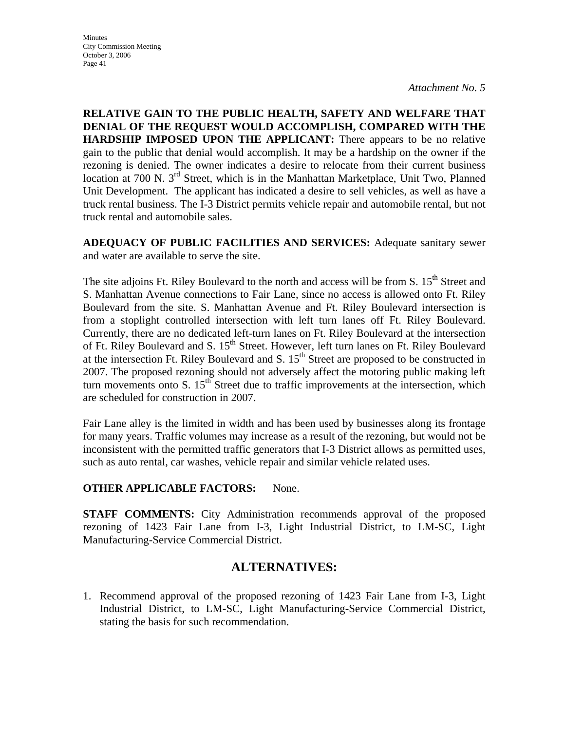**Minutes** City Commission Meeting October 3, 2006 Page 41

*Attachment No. 5* 

**RELATIVE GAIN TO THE PUBLIC HEALTH, SAFETY AND WELFARE THAT DENIAL OF THE REQUEST WOULD ACCOMPLISH, COMPARED WITH THE HARDSHIP IMPOSED UPON THE APPLICANT:** There appears to be no relative gain to the public that denial would accomplish. It may be a hardship on the owner if the rezoning is denied. The owner indicates a desire to relocate from their current business location at 700 N. 3<sup>rd</sup> Street, which is in the Manhattan Marketplace, Unit Two, Planned Unit Development. The applicant has indicated a desire to sell vehicles, as well as have a truck rental business. The I-3 District permits vehicle repair and automobile rental, but not truck rental and automobile sales.

**ADEQUACY OF PUBLIC FACILITIES AND SERVICES:** Adequate sanitary sewer and water are available to serve the site.

The site adjoins Ft. Riley Boulevard to the north and access will be from S. 15<sup>th</sup> Street and S. Manhattan Avenue connections to Fair Lane, since no access is allowed onto Ft. Riley Boulevard from the site. S. Manhattan Avenue and Ft. Riley Boulevard intersection is from a stoplight controlled intersection with left turn lanes off Ft. Riley Boulevard. Currently, there are no dedicated left-turn lanes on Ft. Riley Boulevard at the intersection of Ft. Riley Boulevard and S.  $15<sup>th</sup>$  Street. However, left turn lanes on Ft. Riley Boulevard at the intersection Ft. Riley Boulevard and S.  $15<sup>th</sup>$  Street are proposed to be constructed in 2007. The proposed rezoning should not adversely affect the motoring public making left turn movements onto S.  $15<sup>th</sup>$  Street due to traffic improvements at the intersection, which are scheduled for construction in 2007.

Fair Lane alley is the limited in width and has been used by businesses along its frontage for many years. Traffic volumes may increase as a result of the rezoning, but would not be inconsistent with the permitted traffic generators that I-3 District allows as permitted uses, such as auto rental, car washes, vehicle repair and similar vehicle related uses.

## **OTHER APPLICABLE FACTORS:** None.

**STAFF COMMENTS:** City Administration recommends approval of the proposed rezoning of 1423 Fair Lane from I-3, Light Industrial District, to LM-SC, Light Manufacturing-Service Commercial District.

## **ALTERNATIVES:**

1. Recommend approval of the proposed rezoning of 1423 Fair Lane from I-3, Light Industrial District, to LM-SC, Light Manufacturing-Service Commercial District, stating the basis for such recommendation.